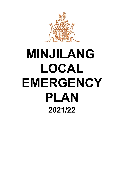

# **MINJILANG LOCAL EMERGENCY PLAN 2021/22**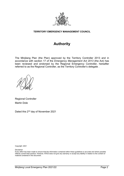

# **TERRITORY EMERGENCY MANAGEMENT COUNCIL**

# **Authority**

The Minjilang Plan (the Plan) approved by the Territory Controller 2013 and in accordance with section 17 of the *Emergency Management Act 2013* (the Act) has been reviewed and endorsed by the Regional Emergency Controller, hereafter referred to as the Regional Controller, as the Territory Controller's delegate .

Regional Controller Martin Dole

Dated this 2nd day of November 2021

Copyright: 2021

Disclaimer

Every effort has been made to ensure that the information contained within these guidelines is accurate and where possible reflects current best practice. However, NTES does not give any warranty or accept any liability in relation to the content of material contained in the document.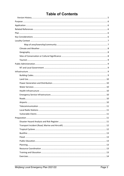# **Table of Contents**

| Local Radio Stations<br>. 11 |  |
|------------------------------|--|
|                              |  |
|                              |  |
|                              |  |
|                              |  |
|                              |  |
|                              |  |
|                              |  |
|                              |  |
|                              |  |
|                              |  |
|                              |  |
|                              |  |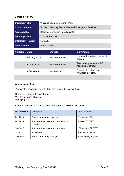# <span id="page-4-0"></span>**Version History**

| <b>Document title</b>  | Minjilang Local Emergency Plan                         |
|------------------------|--------------------------------------------------------|
| <b>Contact details</b> | Northern Territory Police, Fire and Emergency Services |
| Approved by            | Regional Controller - Martin Dole                      |
| Date approved          | 2 November 2021                                        |
| <b>Document Review</b> | Annually                                               |
| <b>TRM</b> number      | 04:D21:58125                                           |

| <b>Version</b> | <b>Date</b>                   | <b>Author</b>         | <b>Comments</b>                                  |
|----------------|-------------------------------|-----------------------|--------------------------------------------------|
| 1.0            | 25th July 2021                | <b>Brian Hennessy</b> | Updated format and review of<br>content.         |
| 1.0            | 3rd August 2021               | <b>Brian Hennessy</b> | Track changes sent to LC<br>Minjilang to review. |
| 1.0            | 2 <sup>nd</sup> November 2021 | <b>Martin Dole</b>    | Review of content and<br>finalisation of plan.   |
|                |                               |                       |                                                  |

# **Amendment List**

Proposals for amendment to this plan are to be forward to:

Officer in Charge, Local Controller Minjilang Police Station Minjilang NT

Amendments promulgated are to be certified below when entered:

| <b>Revision Date</b> | Description                                            | <b>Local Controller</b> |
|----------------------|--------------------------------------------------------|-------------------------|
| <b>July 2018</b>     | General formatting changes                             | D Hawkes / NTES         |
| Aug 2018             | Administrative review and formatting -<br>entirety $-$ | A Heath / NTFRES        |
| Nov 2020             | Administrative review and formatting                   | J Richardson / NTPFES   |
| Oct 2021             | Plan review                                            | B Hennessy / NTES       |
| Nov 2021             | General formatting changes                             | R McKinnon / NTPFES     |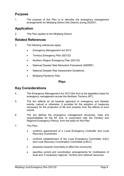# <span id="page-5-0"></span>**Purpose**

1. The purpose of this Plan is to describe the emergency management arrangements for Minjilang District (the District) during 2020/21.

# <span id="page-5-1"></span>**Application**

2. This Plan applies to the Minjilang District.

# <span id="page-5-2"></span>**Related References**

- 3. The following references apply:
	- *Emergency Management Act 2013*
	- Territory Emergency Plan 2021/22
	- Northern Region Emergency Plan 2021/22
	- National Disaster Risk Reduction Framework (NDRRF)
	- National Disaster Risk Assessment Guidelines.
	- Minjilang Pandemic Plan

# **Plan**

# <span id="page-5-4"></span><span id="page-5-3"></span>**Key Considerations**

- 4. The *Emergency Management Act 2013* (the Act) is the legislative basis for emergency management across the Northern Territory (NT).
- 5. The Act reflects an all hazards approach to emergency and disaster events, natural or otherwise. It provides for the adoption of measures necessary for the protection of life and property from the effects of such events.
- 6. The Act defines the emergency management structures, roles and responsibilities for the NT and, in conjunction with the Territory and Regional Emergency Plan(s), form the basis for this Plan.
- 7. This Plan:
	- confirms appointment of a Local Emergency Controller and Local Recovery Coordinator
	- confirms establishment of the Local Emergency Committee (LEC) and Local Recovery Coordination Committee (LRCC)
	- assesses hazards most likely to affect the community
	- specifies control and coordination arrangements for mobilisation of local and, if necessary regional, Territory and national resources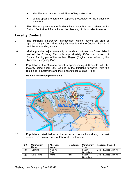- identifies roles and responsibilities of key stakeholders
- details specific emergency response procedures for the higher risk situations.
- 8. This Plan complements the Territory Emergency Plan as it relates to the District. For further information on the hierarchy of plans, refer **Annex A**.

# <span id="page-6-0"></span>**Locality Context**

- 9. The Minjilang emergency management district covers an area of approximately 8000 km2 including Crocker Island, the Cobourg Peninsula and the surrounding islands.
- 10. Minjilang is the major community in the district situated on Croker Island just off the Cobourg Peninsula approximately 250kms north east of Darwin, forming part of the Northern Region (Region 1) as defined by the Territory Emergency Plan.
- <span id="page-6-1"></span>11. Population of the Minjilang district is approximately 400 people, with the majority being about 300 residing in the Minjilang township, with the remaining in outstations and the Ranger station at Black Point.



# **Map of area/township/community**

12. Populations listed below is the expected populations during the wet season, refer to map prior for ID# location reference.

| ID# | Community<br><b>Name</b> | <b>Alternate</b><br><b>Names</b> | <b>Population</b> | Community<br>Type    | <b>Resource Council</b> |
|-----|--------------------------|----------------------------------|-------------------|----------------------|-------------------------|
| 280 | Alamirra                 | Alamirra<br>Alamirr              |                   | Family<br>Outstation | Demed Association Inc   |
| 288 | Araru Point              | Araru                            | Four $(4)$        | Family<br>Outstation | Demed Association Inc   |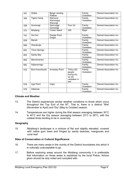| 291 | Walka                | <b>Barge Landing</b><br>Walkaa   |                                                                       | Family<br>Outstation | Demed Association Inc        |
|-----|----------------------|----------------------------------|-----------------------------------------------------------------------|----------------------|------------------------------|
| 306 | <b>Tigers Camp</b>   | Wamunyi<br>Wanninguji<br>Wanungi |                                                                       | Family<br>Outstation | Demed Association Inc        |
| 308 | Gumeragi             | Gamuriggi<br>Gumaragi            | Four $(4)$                                                            | Family<br>Outstation | Demed Association Inc        |
| 375 | Minjilang            | <b>Croker Island</b>             | 300                                                                   | Major                |                              |
| 741 | <b>Gul Gul</b>       | Danger Point<br>Gulgul           |                                                                       | Family<br>Outstation | Demed Association Inc        |
| 828 | Mariah               |                                  |                                                                       | Family<br>Outstation | Demed Association Inc        |
| 890 | Wanakutja            |                                  |                                                                       | Family<br>Outstation | <b>Demed Association Inc</b> |
| 891 | <b>Timor Springs</b> |                                  |                                                                       | Family<br>Outstation | Demed Association Inc        |
| 892 | Sandy Bay            |                                  |                                                                       | Family<br>Outstation | Demed Association Inc        |
| 894 | Marramarrani         |                                  |                                                                       | Family<br>Outstation | Demed Association Inc        |
| 895 | Adjamarragu          |                                  |                                                                       | Family<br>Outstation | Demed Association Inc        |
| 976 | Buni-Inwunbuluk      | <b>Annesley Point</b>            | Thirty (30)<br>people<br>during dry,<br>six(6)<br>caretaker in<br>wet | Family<br>Outstation | Demed Association Inc        |
| 978 | Irgul Point          | Urgul                            |                                                                       | Family<br>Outstation | Demed Association Inc        |
| 979 | Adbanae              |                                  |                                                                       | Family<br>Outstation | Demed Association Inc        |

# <span id="page-7-0"></span>**Climate and Weather**

- 13. The District experiences similar weather conditions to those which occur throughout the Top End of the NT. That is, there is a distinct 'Wet' (November to April) and 'Dry' (May to October) season.
- 14. Temperatures are higher during the Wet season averaging between 30°C to 40°C and the Dry season averaging between 23°C to 28°C, with the coldest times tending to be in June/July.

# <span id="page-7-1"></span>**Geography**

15. Minjilang's landscape is a mixture of flat and slightly elevated, covered with native gum trees and fringed by sandy beaches, mangroves and coral reef.

# <span id="page-7-2"></span>**Sites of Conservation or Cultural Significance**

- 16. There are many areas in the vicinity of the District boundaries into which it is culturally unacceptable to go.
- 17. Before exploring areas around the Minjilang community it is preferable that information on those areas is explained by the local Police. Advice given should be duly noted and complied with.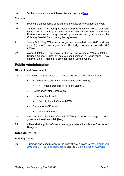18. Further information about these sites can be found [here.](https://nt.gov.au/environment/environment-data-maps/important-biodiversity-conservation-sites/conservation-significance-list)

# <span id="page-8-0"></span>**Tourism**

- 19. Tourism is an economic contributor to the District, throughout the year.
- 20. Venture North Cobourg Coastal Camp is a family owned company specialising in small group cultural and nature based tours throughout Northern Australia, tour groups of up to six (6) per group stay at the Cobourg Coastal Camp during the dry season.
- 21. Seven Spirit Bay Wilderness Lodge was renovated over 2016 and has eight (8) people working on site. The lodge houses up to sixty (60) people.
- 22. Wiligi Outstation The senior traditional land owner of Wiligi outstation, Reuben Cooper, Runs an eco-tourism business, all year round. They cater for up to 4 clients at a time, for trips of up to a week.

# <span id="page-8-1"></span>**Public Administration**

# <span id="page-8-2"></span>**NT and Local Government**

- 23. NT Government agencies that have a presence in the District include:
	- NT Police, Fire and Emergency Services (NTPFES)
		- NT Police Force (NTPF) (Police Station).
	- Power and Water Corporation
	- Department of Health
		- Red Lily Health Centre (NGO).
	- Department of Education
		- Mamaruni School.
- 24. West Arnhem Regional Council (WARC) provides a range of local government services in Minjilang.
- 25. Within Minjilang, Non-Government organisations include the Crèche and Rangers.

# <span id="page-8-3"></span>**Infrastructure**

# <span id="page-8-4"></span>**Building Codes**

26. Buildings and construction in the District are subject to the *[Building Act](https://legislation.nt.gov.au/en/Legislation/BUILDING-ACT)  [2016](https://legislation.nt.gov.au/en/Legislation/BUILDING-ACT)* (NT), [NT Building Regulations](https://legislation.nt.gov.au/Legislation/BUILDING-REGULATIONS) and the [Building Code of Australia.](https://www.abcb.gov.au/NCC/About)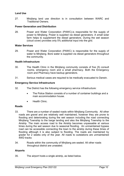# <span id="page-9-0"></span>**Land Use**

27. Minjilang land use direction is in consultation between WARC and Traditional Owners.

### <span id="page-9-1"></span>**Power Generation and Distribution**

28. Power and Water Corporation (PAWC).is responsible for the supply of power to Minjilang. Power is supplied via diesel generators. A small solar farm helps to supplement the diesel generators. During the wet season (cloud cover) provides only 5% additional input into the grid.

### <span id="page-9-2"></span>**Water Services**

29. Power and Water Corporation (PAWC) is responsible for the supply of water to Minjilang. Bore water is supplied via diesel generators throughout the community.

### <span id="page-9-3"></span>**Health Infrastructure**

- 30. The Health Clinic in the Minjilang community consists of five (5) consult rooms, emergency room and a small pharmacy. Both the Emergency room and Pharmacy have backup generators.
- 31. Serious medical cases are required to be medically evacuated to Darwin.

### <span id="page-9-4"></span>**Emergency Service Infrastructure**

- 32. The District has the following emergency service infrastructure:
	- The Police Station consists of a number of container buildings and a main accommodation house.
	- Health Clinic.

# <span id="page-9-5"></span>**Roads**

- 33. There are a number of sealed roads within Minjilang Community. All other roads are gravel and are relatively well maintained, however they are prone to flooding and deteriorating during the wet season including the road connecting Minjilang Township to the barge landing and also the Minjilang Township to the Airstrip. The main access road to the Airstrip becomes unpassable at various times during the wet season due to seasonal flooding. An unmaintained bypass road can be accessible connecting the town to the airstrip during these times of flooding although it is also subject to flooding. The roads are maintained by grader for 2 weeks only of the year. All roads to outstations are unmaintained 4WD tracks
- 34. Roads within the community of Minjilang are sealed. All other roads throughout district are unsealed.

# <span id="page-9-6"></span>**Airports**

35. The airport hosts a single airstrip, as listed below.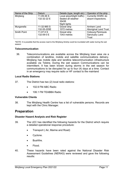| Name of the Strip  | <b>Datum</b> | Details (type, length etc)   | Operator of the strip        |
|--------------------|--------------|------------------------------|------------------------------|
| Minjilang          | 11-09-36 S   | Local airport(light traffic) | Currently WARC do            |
|                    | 132-32-22 E  | Sealed all weather           | airport inspections.         |
|                    |              | 3543ft                       |                              |
|                    |              | Night lights                 |                              |
| Murganella         | 11-32-965 S  | Gravel strip                 | Arnhem Land                  |
|                    | 132-55-205E  | 1072 metres                  | <b>Aboriginal Land Trust</b> |
| <b>Smith Point</b> | 11-07-5 S    | Gravel strip                 | Cobourg Peninsula            |
|                    | 132-09-0 E   | 1343 metres                  | <b>Sanctuary Land</b>        |
|                    |              |                              | <b>Trust</b>                 |

\*NOTE: It is possible that the access road to the Minjilang Airstrip could be inundated with water during the wet season

# <span id="page-10-0"></span>**Telecommunication**

36. Telecommunications are available across the Minjilang town area via a combination of landline, mobile and satellite communications delivery. Minjilang has mobile data and landline telecommunication infrastructure available via Telstra. During the wet season Communications can be intermittent. It has been known during storms in the wet season for communications to be disrupted for up to four (4) days at a time. Contact in an emergency may require radio or HF contact to the mainland

# <span id="page-10-1"></span>**Local Radio Stations**

- 37. The District has two (2) local radio stations:
	- 102.9 FM ABC Radio
	- 106.1 FM TEABBA Radio

# <span id="page-10-2"></span>**Vulnerable Clients**

38. The Minjilang Health Centre has a list of vulnerable persons. Records are kept with the Clinic Manager.

# <span id="page-10-3"></span>**Preparation**

# <span id="page-10-4"></span>**Disaster Hazard Analysis and Risk Register**

- 39. The LEC has identified the following hazards for the District which require a detailed operational response procedure:
	- Transport ( Air, Marine and Road)
	- Cyclone.
	- Bushfire.
	- Flood.
- 40. These hazards have been rated against the National Disaster Risk Assessment Guidelines (NERAG) were reviewed and gave the following results: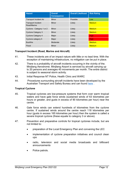| <b>Hazard</b>                            | <b>Overall</b><br><b>Consequence</b> | <b>Overall Likelihood</b> | <b>Risk Rating</b> |
|------------------------------------------|--------------------------------------|---------------------------|--------------------|
| <b>Transport Incident Air</b>            | Minor                                | Possible                  | Low                |
| <b>Transport Incident</b><br>Road/Marine | Minor                                | Likely                    | <b>Medium</b>      |
| Cyclone - Category 1 or 2                | Minor                                | Likely                    | <b>Medium</b>      |
| <b>Cyclone Category 3</b>                | Minor                                | Likely                    | <b>Medium</b>      |
| <b>Cyclone Category 4</b>                | Major                                | Likely                    | <b>High</b>        |
| Cyclone category 5                       | Major                                | Likely                    | <b>High</b>        |
| <b>Bushfire</b>                          | Moderate                             | Likely                    | <b>Medium</b>      |
| Flood                                    | Minor                                | Likely                    | <b>Medium</b>      |

# <span id="page-11-0"></span>**Transport Incident (Road, Marine and Aircraft)**

- 41. These incidents are of an impact nature with little or no lead time. With the exception of maintaining infrastructure, no mitigation can be put in place.
- 42. There is a probability of aircraft incidents occurring in the vicinity of the. Minjilang Aerodrome. Minjilang Airport is serviced by aircraft carrying up to 20 persons and averages 40 movements per month. The entire district is subject to seasonal storm activity.
- 43. Initial Response NT Police, Health Clinic and WARC
- 44. Procedures surrounding aircraft incidents have been developed by the Australian Transport and Safety Bureau and can found [here](https://www.atsb.gov.au/media/1538966/civil_militaryaccidguide_v5.pdf) .

# <span id="page-11-1"></span>**Tropical Cyclone**

- 45. Tropical cyclones are low-pressure systems that form over warm tropical waters and have gale force winds (sustained winds of 63 kilometres per hours or greater, and gusts in excess of 90 kilometres per hour) near the centre.
- 46. Gale force winds can extend hundreds of kilometres from the cyclone centre. If sustained winds around the centre reach 118 kilometres per hour (gusts in excess 165 kilometres per hour) then the system is called a severe tropical cyclone (these equate to category 3 or above).
- 47. Prevention and preparative controls for tropical cyclones include, but are not limited to:
	- preparation of the Local Emergency Plan and convening the LEC
	- implementation of cyclone preparation initiatives and council clean ups
	- radio, television and social media broadcasts and billboard announcements
	- Police patrols.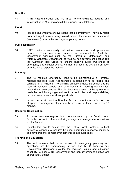# <span id="page-12-0"></span>**Bushfire**

48. A fire hazard includes and fire threat to the township, housing and infrastructure of Minjilang and all the surrounding outstations.

# <span id="page-12-1"></span>**Flood**

49. Floods occur when water covers land that is normally dry. They may result from prolonged or very heavy rainfall, severe thunderstorms, monsoonal (wet season) rains in the tropics, or tropical cyclones.

# <span id="page-12-2"></span>**Public Education**

50. NTES delivers community education, awareness and prevention programs. These are also conducted or supported by Australian Government agencies such as the Bureau of Meteorology and Attorney-General's Department, as well as non-government entities like the Australian Red Cross, to ensure ongoing public awareness of emergency and disaster events. Further information is available on each organisation's respective website.

# <span id="page-12-3"></span>**Planning**

- 51. The Act requires Emergency Plans to be maintained at a Territory, regional and local level. Arrangements in plans aim to be flexible and scalable for all hazards. The planning process enables agreements to be reached between people and organisations in meeting communities' needs during emergencies. The plan becomes a record of the agreements made by contributing organisations to accept roles and responsibilities, provide resources and work cooperatively.
- 52. In accordance with section 17 of the Act, the operation and effectiveness of approved emergency plans must be reviewed at least once every 12 months.

# <span id="page-12-4"></span>**Resource Coordination**

- 53. A master resource register is to be maintained by the District Local Controller for rapid reference during emergency management operations – refer Annex D.
- 54. Stakeholders are to ensure that the District Local Controller is kept advised of changes to resource holdings, operational response capability and key personnel contact arrangements on a regular basis.

# <span id="page-12-5"></span>**Training and Education**

55. The Act requires that those involved in emergency planning and operations are be appropriately trained. The NTES Learning and Development Command provides the required training and education capability to ensure NT Government and non-government entities are appropriately trained.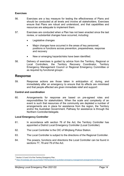# <span id="page-13-0"></span>**Exercises**

- 56. Exercises are a key measure for testing the effectiveness of Plans and should be conducted at all levels and involve all stakeholders. Exercises ensure that Plans are robust and understood, and that capabilities and resources are adequate to implement them.
- 57. Exercises are conducted when a Plan has not been enacted since the last review, or substantial changes have occurred, including:
	- Legislative changes
	- Major changes have occurred in the areas of key personnel, positions or functions across prevention, preparedness, response and recovery
	- New or emerging hazards/risks have been identified.
- 58. Delivery of exercises is guided by advice from the Territory, Regional or Local Controllers, the Territory Recovery Coordinator, Territory Emergency Management Council or Regional Emergency Committee or as required by functional groups[1](#page-13-4).

# <span id="page-13-1"></span>**Response**

59. Response actions are those taken in anticipation of, during, and immediately after an emergency to ensure that its effects are minimised and that people affected are given immediate relief and support $^{\scriptscriptstyle 2}.$ 

# <span id="page-13-2"></span>**Control and coordination**

60. Arrangements for response are based on pre-agreed roles and responsibilities for stakeholders. When the scale and complexity of an event is such that resources of the community are depleted a number of arrangements are in place for assistance from the region, the Territory and/or the Australian Government. Pathway for assistance is through the Northern Controller/delegate.

# <span id="page-13-3"></span>**Local Emergency Controller**

- 61. In accordance with section 76 of the Act, the Territory Controller has appointed a District Local Emergency Controller (Local Controller).
- 62. The Local Controller is the OIC of Minjilang Police Station.
- 63. The Local Controller is subject to the directions of the Regional Controller.
- 64. The powers, functions and directions the Local Controller can be found in sections 77, 78 and 79 of the Act.

 $\overline{a}$ 

<span id="page-13-4"></span><sup>&</sup>lt;sup>1</sup> Section 3.5 and 3.6 of the Territory Emergency Plan.

<span id="page-13-5"></span><sup>2</sup> <https://knowledge.aidr.org.au/media/1764/handbook-9-australian-emergency-management-arrangements-kh-final.pdf>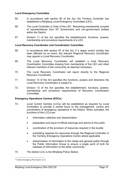# <span id="page-14-0"></span>**Local Emergency Committee**

- 65. In accordance with section 80 of the Act, the Territory Controller has established a Minjilang Local Emergency Committee (LEC).
- 66. The Local Controller is Chair of the LEC. Remaining membership consists of representatives from NT Government and non-government entities within the District
- 67. Division 11 of the Act specifies the establishment, functions, powers; membership and procedure requirements of a LEC.

# <span id="page-14-1"></span>**Local Recovery Coordinator and Coordination Committee**

- 68. In accordance with section 87 of the Act, if a region and/or locality has been affected by an event, the relevant Regional Recovery Coordinator may appoint a Local Recovery Coordinator.
- 69. The Local Recovery Coordinator will establish a local Recovery Coordination Committee drawing from membership of the LEC and other relevant members of the community as deemed necessary.
- 70. The Local Recovery Coordinator will report directly to the Regional Recovery Coordinator.
- 71. Division 12 of the Act specifies the functions, powers and directions the Local Recovery Coordinator is subject to.
- 72. Division 13 of the Act specifies the establishment, functions, powers; membership and procedure requirements of Recovery Coordination **Committee**

# <span id="page-14-2"></span>**Emergency Operations Centres (EOCs)**

- 73. Local Control Centres (LCCs) will be established as required by Local Controllers to provide a central focus to the management, control and coordination of emergency operations in the District. When activated, the functions of the LCCs are:
	- information collection and dissemination
	- preparation and issue of official warnings and advice to the public
	- coordination of the provision of resources required in the locality
	- submitting requests for resources through the Regional Controller or the Territory Emergency Operations Centre where applicable
	- dissemination of information to the media and general public through the Public Information Group to ensure a single point of truth for releases of information to the wider community<sup>[3](#page-14-3)</sup>.
- 74. The District LCC is the Minjilang Police Station.

 $\overline{a}$ 

<span id="page-14-3"></span><sup>3</sup> Territory Emergency Plan Section 4.5.3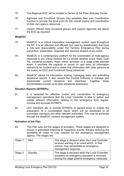- 75. The Regional EOC will be located in Darwin at the Peter McAulay Centre.
- 76. Agencies and Functional Groups may establish their own Coordination Centres to provide the focal point for the overall control and coordination of their own agency resources.
- 77. Liaison Officers from functional groups and support agencies will attend the EOC as required.

# <span id="page-15-0"></span>**WebEOC**

- 78. WebEOC is a critical information management system used throughout the NT. It is an effective and efficient tool used by stakeholders that have a role and responsibility under the Territory Emergency Plan during prevention, preparation, response and recovery phases of any event.
- 79. WebEOC is a contemporary platform for the coordination of multi-agency response to any critical incident be it a severe weather event, flood, bush fire, industrial accident, major crime, terrorism or a large scale planned event. It provides the capacity to record (in real time) all information relevant to an incident and to share that information with other persons at the scene, an EOC and Functional Group personnel.
- 80. WebEOC allows for information sharing, managing tasks and submitting situational reports. It also assists the Control Authority to manage and disseminate current decisions and objectives. Together these functionalities provide up-to-date situational awareness.

# <span id="page-15-1"></span>**Situation Reports (SITREPs)**

- 81. It is essential for effective control and coordination of emergency management operations that the Local Controller is able to gather and collate relevant information relating to the emergency from regular, concise and accurate SITREPs.
- 82. LEC members are to provide SITREPs at agreed times to enable the preparation of a consolidated report which will be distributed to all committee members and other relevant authorities. This may be achieved through the WebEOC incident management system.

# <span id="page-15-2"></span>**Activation of the Plan**

83. This Plan sets out five stages of activation. These stages are designed to ensure a graduated response to hazardous events, thereby reducing the possibility of under or over reaction by the emergency management agency. The stages are:

| Stage 1 | Alert   | This stage is declared when the Local Controller<br>receives warning of an event which, in their<br>opinion, may necessitate an emergency<br>management response. |
|---------|---------|-------------------------------------------------------------------------------------------------------------------------------------------------------------------|
| Stage 2 | Standby | This stage is declared when the Local Controller<br>considers an emergency operation is imminent.<br>During this stage passive emergency measures                 |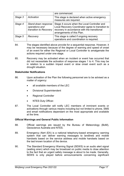|         |                                                                 | are commenced.                                                                                                                                                                  |
|---------|-----------------------------------------------------------------|---------------------------------------------------------------------------------------------------------------------------------------------------------------------------------|
| Stage 3 | Activation                                                      | This stage is declared when active emergency<br>measures are required.                                                                                                          |
| Stage 4 | Stand-down response<br>operations and<br>transition to Recovery | Stage 4 occurs when the Local Controller and<br>Local Recovery Coordinator agree to transition to<br>recovery in accordance with the transitional<br>arrangements of this Plan. |
| Stage 5 | Recovery                                                        | This stage is called if ongoing recovery<br>operations and coordination is required.                                                                                            |

- 84. The stages identified above provide for a sequential response. However, it may be necessary because of the degree of warning and speed of onset of an event for either the Regional or Local Controller to amalgamate the actions required under one stage.
- 85. Recovery may be activated when an incident or event has occurred that did not necessitate the activation of response stages 1 to 4. This may be in relation to a sudden impact event or slow onset event such as a drought situation.

# <span id="page-16-0"></span>**Stakeholder Notifications**

- 86. Upon activation of the Plan the following personnel are to be advised as a matter of urgency:
	- all available members of the LEC
	- Divisional Superintendent
	- Regional Controller
	- NTES Duty Officer.
- 87. The Local Controller will notify LEC members of imminent events or activations through various means including but not limited to phone, SMS and email notifications dependant on the most appropriate and available at the time.

# <span id="page-16-1"></span>**Official Warnings and General Public Information**

- 88. Official warnings are issued by the Bureau of Meteorology (BoM), Geoscience Australia and NTES.
- 89. Emergency Alert (EA) is a national telephony-based emergency warning system that can deliver warning messages to landlines and mobile handsets based on the service address and mobile handsets based on the last known location of the device.
- 90. The Standard Emergency Warning Signal (SEWS) is an audio alert signal (wailing siren) which may be broadcast on public media to draw attention to the fact that an urgent safety message is about to be made. Generally, SEWS is only played before announcements concerning significant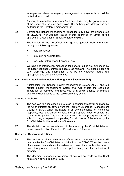emergencies where emergency management arrangements should be activated as a result.

- 91. Authority to utilise the Emergency Alert and SEWS may be given by virtue of the approval of an emergency plan. The authority and delegations can be found in the Territory Emergency Plan.
- 92. Control and Hazard Management Authorities may have pre-planned use of SEWS for non-weather related events approved by virtue of the approval of a Regional or Special emergency plan.
- 93. The District will receive official warnings and general public information through the following means:
	- radio broadcast
	- television news broadcast
	- Secure NT internet and Facebook site.
- 94. Warning and information messages for general public are authorised by the Local/Regional Controller/delegate, as relevant. The dissemination of such warnings and information is to be by whatever means are appropriate and available at the time.

# <span id="page-17-0"></span>**Australasian Inter-Service Incident Management System (AIIMS)**

95. Australasian Inter-Service Incident Management System (AIIMS) and is a robust incident management system that will enable the seamless integration of activities and resources of a single agency or multiple agencies when applied to the resolution of any event.

# <span id="page-17-1"></span>**Closure of Schools**

- 96. The decision to close schools due to an impending threat will be made by the Chief Minister on advice from the Territory Emergency Management Council (TEMC). When the nature of an event demands an immediate response, local authorities will take the appropriate steps to ensure the safety to the public. This action may include the temporary closure of a school to begin preparations, pending formal closure of the school by the Chief Minister for the remainder of the event.
- 97. The decision to reopen schools will be made by the Chief Minister on advice from the Chief Executive, Department of Education.

# <span id="page-17-2"></span>**Closure of Government Offices**

- 98. The decision to close government offices due to an impending threat will be made by the Chief Minister on advice from the TEMC. When the nature of an event demands an immediate response, local authorities should take all appropriate steps to ensure public safety and the protection of property.
- 99. The decision to reopen government offices will be made by the Chief Minister on advice from the TEMC.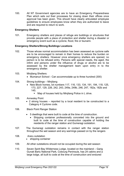100. All NT Government agencies are to have an Emergency Preparedness Plan which sets out their processes for closing down their offices once approval has been given. This should have clearly articulated employee guidelines to ensure employees know when they are authorized to leave and are required to return to work.

# <span id="page-18-0"></span>**Emergency Shelters**

101. Emergency shelters and places of refuge are buildings or structures that provide people with a place of protection and shelter during a disaster or emergency event such as a cyclone, flood, fire or tsunami.

# <span id="page-18-1"></span>**Emergency Shelters/Strong Buildings Locations**

- 102. Those whose normal accommodation has been assessed as cyclone safe are to be encouraged to remain in their homes to reduce the burden on emergency shelters. However once emergency shelters are opened, no person is to be refused entry. Persons with special needs, the aged, the infirm and persons under the influence of drugs or alcohol are to be assessed by the shelter management team upon entry in to the emergency shelter.
- 103. Minjilang Shelters:
	- Mumanuri School Can accommodate up to three hundred (300)
- 104. Strong buildings Minjilang
	- New Block homes, lot numbers 117, 116, 133, 134, 191, 194, 118, 125, 173, 227, 129, 226, 242, 243, 249a, 249b, 246, 247, 182a, 182b and 145.
		- Map of houses held by Minjilang Police in L drive.
- 105. Annesley Point
	- 2 strong houses reported by a local resident to be constructed to a Category 4 Cyclone code.
- 106. Black Point Ranger Station
	- 5 dwellings that were built to code at the time of construction.
		- Shipping container professionally concreted into the ground and built to code at the time of construction capable of holding the residents of the ranger station and Gumeragi outstation.
- 107. The Gumeragi outstation remains in contact with the ranger station throughout the wet season and any warnings passed on by the rangers
- 108. Araru outstation
	- shipping container
- 109. All other outstations should not be occupied during the wet season
- 110. Seven Spirit Bay Wilderness Lodge, located on the mainland Garig Gunak Barlu National Park, Cobourg Peninsula, has 24 cabins and a large lodge, all built to code at the time of construction and endured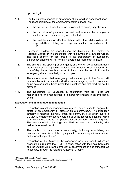cyclone Ingrid.

- 111. The timing of the opening of emergency shelters will be dependent upon The responsibilities of the emergency shelter manager are:
	- the provision of those buildings designated as emergency shelters
	- the provision of personnel to staff and operate the emergency shelters at such times as they are activated
	- the maintenance of effective liaison with other stakeholders with responsibilities relating to emergency shelters, in particular the NTPF.
- 112. Emergency shelters are opened under the direction of the Territory or Regional Controller in consultation with the Emergency Shelter Group. The lead agency for this group is the Department of Education. Emergency shelters will not normally operate for more than 48 hours.
- 113. The timing of the opening of emergency shelters will be dependent upon the severity of the impending incident, the numbers to be sheltered, the time of day the incident is expected to impact and the period of time the emergency shelters are likely to be occupied. .
- 114. The announcement that emergency shelters are open in the District will be made by radio broadcast and will include emergency shelter rules such as no pets or alcohol being permitted in shelters and that food will not be provided.
- 115. The Department of Education in conjunction with NT Police are responsible for the management of emergency shelters in an emergency event.

# <span id="page-19-0"></span>**Evacuation Planning and Accommodation**

- 116. Evacuation is a risk management strategy that can be used to mitigate the effect of an emergency or disaster on a community<sup>4</sup>. The mitigation strategy to minimise the requirement for community evacuation due to a COVID-19 emergency event would be to utilise identified shelters, which can accommodate up to 350 persons for an extended period if required. The accommodation buildings identified as safe and habitable, with residents to remain in situ.
- 117. The decision to evacuate a community, including establishing an evacuation centre, is not taken lightly as it represents significant resource and financial implications<sup>[5](#page-19-2)</sup>.
- 118. Evacuation of the District will be considered as a last resort. Where an evacuation is required the TEMC, in consultation with the Local Controller and the District, will arrange emergency accommodation and transport, as necessary, through the relevant Functional Group/s.

<sup>&</sup>lt;u>.</u> <sup>4</sup> EM Manual 11 Evacuation Planning, page 1

<span id="page-19-2"></span><span id="page-19-1"></span><sup>5</sup> Australian Emergency Management, Evacuation Planning Handbook 4 2013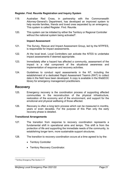# <span id="page-20-0"></span>**Register. Find. Reunite Registration and Inquiry System**

- 119. Australian Red Cross, in partnership with the Commonwealth Attorney-General's Department, has developed an improved system to help reunite families, friends and loved ones separated by an emergency. This system is called Register. Find. Reunite.
- 120. This system can be initiated by either the Territory or Regional Controller without the national system being activated<sup>6</sup>.

### **Impact Assessment**

- 121. The Survey, Rescue and Impact Assessment Group, led by the NTPFES, is responsible for impact assessments.
- 122. At the local level, Local Controllers can activate the NTES to undertake impact assessments if deemed appropriate.
- 123. Immediately after a hazard has affected a community, assessment of the impact is a vital component of the situational awareness and implementation of response and recovery activities.
- 124. Guidelines to conduct rapid assessments in the NT, including the establishment of a dedicated Rapid Assessment Team/s (RAT) to collect data in the field have been developed. A copy is available in the WebEOC library for emergency management practitioners.

# <span id="page-20-1"></span>**Recovery**

- 125. Emergency recovery is the coordination process of supporting affected communities in the reconstruction of the physical infrastructure, restoration of the economy and of the environment, and support for the emotional and physical wellbeing of those affected.
- 126. Recovery is often a long term process which can be measured in months, years or even decades. For the purpose of this Plan only the early recovery phase is detailed.

# <span id="page-20-2"></span>**Transitional Arrangements**

- 127. The transition from response to recovery coordination represents a fundamental shift in operational aims and tempo. This shift is from the protection of life and supporting the immediate needs of the community, to establishing longer term, more sustainable support structures.
- 128. The transition to recovery coordination occurs at a time agreed to by the:
	- Territory Controller
	- Territory Recovery Coordinator.

<span id="page-20-3"></span> $\overline{a}$ <sup>6</sup> Territory Emergency Plan Section 4.17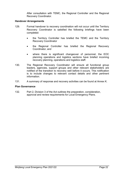After consultation with TEMC, the Regional Controller and the Regional Recovery Coordinator.

# <span id="page-21-0"></span>**Handover Arrangements**

- 129. Formal handover to recovery coordination will not occur until the Territory Recovery Coordinator is satisfied the following briefings have been completed:
	- the Territory Controller has briefed the TEMC and the Territory Recovery Coordinator
	- the Regional Controller has briefed the Regional Recovery Coordinator, and
	- where there is significant changeover of personnel, the EOC planning operations and logistics sections have briefed incoming recovery planning, operations and logistics staff.
- 130. The Regional Recovery Coordinator will ensure all functional group leaders, agencies, support groups and other relevant stakeholders are notified of the transition to recovery well before it occurs. This notification is to include changes to relevant contact details and other pertinent information.
- 131. A summary of response and recovery activities can be found at Annex K.

### <span id="page-21-1"></span>**Plan Governance**

132. Part 2, Division 3 of the Act outlines the preparation, consideration, approval and review requirements for Local Emergency Plans.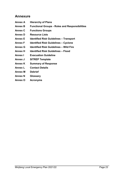# <span id="page-22-0"></span>**Annexure**

- **Annex A Hierarchy of Plans**
- **Annex B Functional Groups - Roles and Responsibilities**
- **Annex C Functions Groups**
- **Annex D Resource Lists**
- **Annex E Identified Risk Guidelines – Transport**
- **Annex F Identified Risk Guidelines – Cyclone**
- **Annex G Identified Risk Guidelines – Wild Fire**
- **Annex H Identified Risk Guidelines – Flood**
- **Annex I Evacuation Guideline**
- **Annex J SITREP Template**
- **Annex K Summary of Response**
- **Annex L Contact Details**
- **Annex M Debrief**
- **Annex N Glossary**
- **Annex O Acronyms**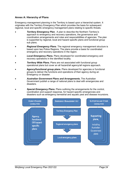# <span id="page-23-0"></span>**Annex A: Hierarchy of Plans**

Emergency management planning in the Territory is based upon a hierarchal system. It originates with the Territory Emergency Plan which provides the basis for subsequent regional, local and specific emergency management plans relating to specific threats.

- **Territory Emergency Plan.** A plan to describe the Northern Territory's approach to emergency and recovery operations, the governance and coordination arrangements and roles and responsibilities of agencies. The plan is supported by regional, local and hazard specific plans and functional group sub plans.
- *Regional Emergency Plans*. The regional emergency management structure is based upon two Police Regions. The plans provide a basis for coordinated emergency and recovery operations in the region.
- *Local Emergency Plans***.** Plans developed for coordinated emergency and recovery operations in the identified locality.
- **Territory Wide Plans.** Plans are not associated with functional group operational plans but cover an all hazard/all agency/all regions approach.
- **Agency/functional group plans.** Plans developed for agencies or functional groups to deliver the functions and operations of their agency during an Emergency or disaster.
- *Australian Government Plans and Arrangements***.** The Australian Government publish a range of national plans to deal with emergencies and disasters.
- *Special Emergency Plans***.** Plans outlining the arrangements for the control, coordination and support response, for hazard specific emergencies and disasters such as emergency terrestrial and aquatic pest and disease incursions.

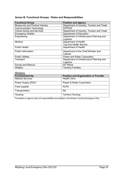# <span id="page-24-0"></span>**Annex B: Functional Groups - Roles and Responsibilities**

| <b>Functional Group</b>                 | <b>Position and Agency</b>                |
|-----------------------------------------|-------------------------------------------|
| <b>Biosecurity and Product Industry</b> | Department of Industry, Tourism and Trade |
| <b>Communication Technology</b>         | <b>NTPFES</b>                             |
| <b>Critical Goods and Services</b>      | Department of Industry, Tourism and Trade |
| <b>Emergency Shelter</b>                | Department of Education                   |
| Engineering                             | Department of Infrastructure Planning and |
|                                         | Logistics                                 |
| Medical                                 | Department of Health                      |
|                                         | <b>Top End Health Service</b>             |
| <b>Public Health</b>                    | Department of Health                      |
| <b>Public Information</b>               | Department of the Chief Minister and      |
|                                         | Cabinet                                   |
| <b>Public Utilities</b>                 | Power and Water Corporation               |
| Transport                               | Department of Infrastructure Planning and |
|                                         | Logistics                                 |
| <b>Survey and Rescue</b>                | <b>NT Police</b>                          |
| Welfare                                 | <b>Territory Families</b>                 |

| Minjilang                |                                              |
|--------------------------|----------------------------------------------|
| <b>Function/Activity</b> | <b>Position and Organisation or Provider</b> |
| <b>Medical Services</b>  | <b>Health Clinic</b>                         |
| Power Supply (ESO)       | Power & Water Corporation,                   |
| Food supplier            | <b>ALPA</b>                                  |
| Transportation           | <b>NA</b>                                    |
| Housing                  | <b>Territory Housing</b>                     |

Full details on agency roles and responsibilities are detailed in the Northern Territory Emergency Plan.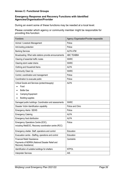# <span id="page-25-0"></span>**Annex C: Functional Groups**

# **Emergency Response and Recovery Functions with Identified Agencies/Organisation/Provider**

During an event some of these functions may be needed at a local level.

Please consider which agency or community member might be responsible for providing this function:

| <b>Functions</b>                                                        | Agency /Organisation/Provider responsible |
|-------------------------------------------------------------------------|-------------------------------------------|
| Animal / Livestock Management                                           | Police                                    |
| Anti-looting protection                                                 | Police                                    |
| <b>Banking Services</b>                                                 | <b>ALPA ATM</b>                           |
| Broadcasting: What radio stations provide announcements                 | <b>ABC TEABBA</b>                         |
| Clearing of essential traffic routes                                    | <b>WARC</b>                               |
| Clearing storm water drains                                             | <b>WARC</b>                               |
| Clothing and Household Items                                            | <b>ALPA</b>                               |
| Community Clean Up                                                      | <b>WARC</b>                               |
| Control, coordination and management                                    | Police                                    |
| Coordination to evacuate public                                         | Police                                    |
| Critical Goods and Services (protect/resupply)                          | <b>ALPA</b>                               |
| Food                                                                    |                                           |
| <b>Bottle Gas</b>                                                       |                                           |
| <b>Camping Equipment</b>                                                |                                           |
| <b>Building supplies</b>                                                |                                           |
| Damaged public buildings: Coordination and assessments                  | <b>WARC</b>                               |
| Disaster Victim Identification capability                               | Police and Clinic                         |
| <b>Emergency Alerts / SEWS</b>                                          | Police                                    |
| <b>Emergency Catering</b>                                               | <b>ALPA</b>                               |
| Emergency food distribution                                             | <b>ALPA</b>                               |
| Emergency Operations Centre (EOC),                                      | Police                                    |
| including WebEOC, Recovery coordination centre (RCC)                    |                                           |
| Emergency shelter. Staff, operations and control                        | Education                                 |
| Evacuation centre - Staffing, operations and control                    | Education                                 |
| <b>Financial Relief /Assistance</b>                                     | Centrelink                                |
| Payments of NDRRA (National Disaster Relief and<br>Recovery Assistance) |                                           |
| Identification of suitable buildings for shelters                       | <b>NTPOL</b>                              |
| <b>Interpreter Services</b>                                             | <b>AIS</b>                                |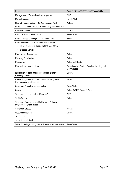| <b>Functions</b>                                                                                                        | Agency /Organisation/Provider responsible                    |
|-------------------------------------------------------------------------------------------------------------------------|--------------------------------------------------------------|
| Management of Expenditure in emergencies                                                                                | <b>CMC</b>                                                   |
| <b>Medical services</b>                                                                                                 | <b>Health Clinic</b>                                         |
| Network communications (IT): Responders / Public<br>Maintenance and restoration of emergency communication              | Telstra                                                      |
| Personal Support                                                                                                        | <b>NASIA</b>                                                 |
| Power: Protection and restoration :                                                                                     | PowerWater                                                   |
| Public messaging during response and recovery.                                                                          | Police                                                       |
| Public/Environmental Health (EH) management<br>All EH functions including water & food safety<br><b>Disease Control</b> |                                                              |
| Rapid Impact Assessment                                                                                                 | Police                                                       |
| <b>Recovery Coordination</b>                                                                                            | Police                                                       |
| Repatriation                                                                                                            | Police and Health                                            |
| Restoration of public buildings                                                                                         | Department of Territory Families, Housing and<br>Communities |
| Restoration of roads and bridges (council/territory)<br>excluding railways                                              | <b>WARC</b>                                                  |
| Road management and traffic control including public<br>Information on road closures                                    | <b>WARC</b>                                                  |
| Sewerage: Protection and restoration                                                                                    | PowerWater                                                   |
| Survey                                                                                                                  | Police, WARC, Power & Water                                  |
| Temporary accommodation (Recovery)                                                                                      | <b>CMC</b>                                                   |
| <b>Traffic Control</b>                                                                                                  | Police                                                       |
| Transport: Commercial and Public airport/ planes,<br>automobiles, ferries, buses                                        |                                                              |
| <b>Vulnerable Groups</b>                                                                                                | Health                                                       |
| Waste management<br>Collection<br>Disposal of Stock                                                                     | <b>WARC</b>                                                  |
| Water (including drinking water): Protection and restoration                                                            | PowerWater                                                   |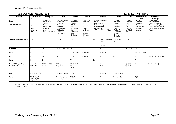# **Annex D: Resource List**

# RESOURCE REGISTER Locality - Miniilang

|                                                      |                                                               |                                                                             |                                                                                 |                                                                                               |                                                                                             |                              |                                       |                |                                                                                                          |                                                    | .                                                  |                                                                                                   |
|------------------------------------------------------|---------------------------------------------------------------|-----------------------------------------------------------------------------|---------------------------------------------------------------------------------|-----------------------------------------------------------------------------------------------|---------------------------------------------------------------------------------------------|------------------------------|---------------------------------------|----------------|----------------------------------------------------------------------------------------------------------|----------------------------------------------------|----------------------------------------------------|---------------------------------------------------------------------------------------------------|
| Resource                                             | Communication<br>S                                            | <b>Fire Fighting</b>                                                        | Rescue                                                                          | <b>Medical</b>                                                                                | Aircraft                                                                                    |                              | <b>Vehicles</b>                       |                | Plant                                                                                                    | Fuel                                               | Accommodation<br>/Shelter                          | <b>Food Supply</b><br>& Storage                                                                   |
| Legend                                               | HF<br>UH                                                      | A=Appliance<br>D=Dropon Unit<br>T=Trailer                                   | <b>RAR=Road Accident</b><br>Rescue Team<br>HE=Heavy                             | H=Hospital<br>A=Ambulance<br>C=Clinic                                                         | F=Fixed Wing<br>H=Helicopt                                                                  | U=Utility<br>B=Bus (seating) | S=Sedan/Stationwagon                  |                | T=Tractor<br>B=Bulldozer<br>C=Crane                                                                      | A=Avgas<br>D=Distillate<br>$J = Jet$               | B=Beds<br>R=Rooms<br>C=Caravans                    | R=Retail store<br>B=Bulk dry goods<br>K=Commercial Catering                                       |
| Agency/Organisation                                  | VH<br>Marine (M)<br>Satellite Ph<br>(SP)                      | F=Foam<br>E=Extinguisher<br>$(4.5kg$ and<br>above)<br>GFU - Grass Fire Unit | Rescue<br>Equipment<br>WS=Workshop<br>PG=Portable<br>Genset<br>FL=Floodlighting | F/A=First Aid<br>Kits<br>SF=Stretcher<br>(fld)<br>SB=Stretcher-<br>(bsk)<br><b>B=Blankets</b> | er<br>(oo)=Seati<br>ng<br>Capacity<br>(s)=Stretch<br>er<br>$(w)$ =Winch<br>(kg)=Paylo<br>ad | FT=Fuel tanker<br>2WD 4WD    | T=Truck (capacity)<br>WT=Water tanker | All<br>Terrain | (mobile)<br>F=Frontend<br>Loader<br>F/L=Forklift<br>L=Lowloader<br>B/H=Back hoe<br>G=Grader<br>BC=Bobcat | aviation<br>$L = LPG$<br>S=Super<br>U=Unlead<br>ed | T=Tents<br>Tp=Tarpaulins<br>PS=Plastic<br>sheeting | P=Portable cooking F=Freezer<br>(fixed) Fm=Freezer (mobile)<br>C=Coolroom Cm=Coolroom<br>(mobile) |
| <b>West Arnhem Regional Council</b>                  | UHF. SP                                                       |                                                                             | WS, PG, FL                                                                      | FA                                                                                            |                                                                                             | U(1)                         | $U(5)$ ,<br>S(2),<br>T(2)22,<br>500KG | Buggy 91)      | T, F, F/L, B/H,<br>BC.                                                                                   | D, U                                               | B, R,                                              | K, F, FM,                                                                                         |
| <b>PowerWater</b>                                    | SP, HF                                                        | E(6)                                                                        | WS (tools), Chain Saws,                                                         | F/A                                                                                           |                                                                                             |                              |                                       |                |                                                                                                          | D (125000ltr)                                      | B(4)                                               |                                                                                                   |
| Clinic                                               | SP                                                            |                                                                             |                                                                                 | $F/A$ , S/F, S/B, A,                                                                          | Access to F, H                                                                              |                              | S, (1) U (1)                          |                |                                                                                                          |                                                    | B, R (patients only)                               |                                                                                                   |
| <b>Store</b>                                         | SP                                                            | E(2)                                                                        | PG                                                                              | $F/A$ , $B$                                                                                   | Access to F                                                                                 |                              |                                       |                | F/L                                                                                                      |                                                    | TP                                                 | R, B, K, P, F, FM, C, CM                                                                          |
| School                                               | SP                                                            |                                                                             |                                                                                 | F/A                                                                                           |                                                                                             | B(21)                        |                                       |                |                                                                                                          |                                                    |                                                    |                                                                                                   |
| <b>Black Point Ranger Station</b><br>Ph: 088979 0244 | HF (Meander Vessel)<br>$VHF \times 9: SP \times 3$            | GFU, D x 2 (400ltr)<br>D (600ltr)                                           | PG (6kva, 3.8kva,<br>2kva), FL x 2                                              | F/A x 5, SF x 1,<br>Poisons<br>$F/A \times 1$                                                 |                                                                                             |                              | $S \times 1$<br>$U \times 2$          |                |                                                                                                          | U (2000ltr)<br>D (20000ltr)                        | $B \times 4$ , $T \times 4$                        | C, P, Fmx 2 (Engel)                                                                               |
| <b>NLC</b>                                           | SP (2), UH (3), M (1)                                         |                                                                             | WS, PG, chainsaw (5)                                                            | F/A(5)                                                                                        |                                                                                             |                              | S(1), U(2)                            |                | V= 7.2m cuddy 250hp                                                                                      |                                                    |                                                    |                                                                                                   |
| Police                                               | M (2), SP (2), police<br>portables (2), Police<br>vehicle (1) |                                                                             | PG, chainsaw, vehicle<br>recovery straps, FL                                    | F/A (2), B (4)                                                                                | F(2)                                                                                        |                              |                                       |                | $V = 6m$ c/c 130hp                                                                                       |                                                    | B(5)                                               |                                                                                                   |

<span id="page-27-0"></span>*Where Functional Groups are identified, those agencies are responsible for ensuring that a record of resources available during an event are completed and made available to the Local Controller during an event*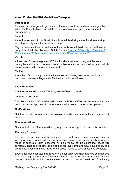# <span id="page-28-0"></span>**Annex E: Identified Risk Guideline – Transport**

# **Introduction**

This plan provides generic guidance on the response to air and road emergencies within the District which necessitate the activation of emergency management arrangements.

# **Aircraft**

Aircraft movements in the District include small fixed wing aircraft and rotary wing aircraft generally used for aerial mustering.

Region personnel involved with aircraft accidents are advised to obtain and read a copy of the Australian Transport Safety Bureau *[Civil and Military Aircraft Accident](https://www.atsb.gov.au/media/1538966/civil_militaryaccidguide_v5.pdf)  [Procedures for Police Officers and Emergency Services Personnel](https://www.atsb.gov.au/media/1538966/civil_militaryaccidguide_v5.pdf)*

# Vehicle

All roads on Croker are gravel 4WD tracks which network throughout the area, during the wet this can create additional problems such as road wash outs etc. which are associated with remote area incidents.

### Marine

A number of community members have their own boats, used for recreational purposes. However a large scale Marine incident is rated *low*.

# **Initial Reponses**

Initial response will be the NT Police, Health Clinic and WARC**.**

# **Incident Controller**

The Regional/Local Controller will appoint a Police Officer as the onsite incident controller who will proceed to the scene and take overall control of the operation.

# **Notifications**

Notifications will be sent out to all relevant stakeholders and regional commands if needed.

# **Communications**

Communication at Minjilang will be by any means made possible due to the location.

### **Recovery Process**

The recovery process may be complex, as people and communities will have a variety of needs, which will require numerous recovery measures involving a wide range of agencies. Such measures will be dynamic, to the extent that needs will constantly change over time as difficulties are overcome and new issues arise, and protracted, given that the full recovery process may take several years to complete.

Experience demonstrates that recovery is best achieved when affected communities exercise a high degree of self-determination. It should be seen as a developmental process through which communities attain a proper level of functioning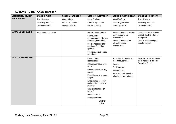# **ACTIONS TO BE TAKEN Transport**

| <b>Organisation/Provider</b> | <b>Stage 1 Alert</b>      | <b>Stage 2: Standby</b> | <b>Stage 3: Activation</b>                       | <b>Stage 4: Stand down</b>                     | <b>Stage 5: Recovery</b>                          |
|------------------------------|---------------------------|-------------------------|--------------------------------------------------|------------------------------------------------|---------------------------------------------------|
| <b>ALL MEMBERS</b>           | Attend Briefings.         | Attend Briefings.       | Attend Briefings.                                | Attend Briefings.                              | Attend Briefings.                                 |
|                              | Inform Key personnel.     | Inform Key personnel.   | Inform Key personnel.                            | Inform Key personnel.                          | Inform Key personnel.                             |
|                              | Provide SITREPS.          | Provide SITREPS.        | Provide SITREPS.                                 | Provide SITREPS.                               | Provide SITREPS.                                  |
|                              |                           |                         |                                                  |                                                |                                                   |
| <b>LOCAL CONTROLLER</b>      | Notify NTES Duty Officer. |                         | Notify NTES Duty Officer                         | Ensure all personnel (victims                  | Arrange for Critical Incident                     |
|                              |                           |                         | Carry out initial                                | and responders) are                            | Stress Debriefing action as                       |
|                              |                           |                         | reconnaissance of the area                       | accounted for.                                 | appropriate.                                      |
|                              |                           |                         | affected by the incident.                        | Ensure all personnel are<br>advised of debrief | Compile and forward post<br>operations report.    |
|                              |                           |                         | Coordinate requests for<br>assistance from other | arrangements.                                  |                                                   |
|                              |                           |                         | agencies.                                        |                                                |                                                   |
|                              |                           |                         | If required, initiate search                     |                                                |                                                   |
|                              |                           |                         | procedures.                                      |                                                |                                                   |
| <b>NT POLICE MINJILANG</b>   |                           |                         | Carry out initial                                | Account for ALL equipment                      | Assist the Local Controller in                    |
|                              |                           |                         | reconnaissance                                   | used and supervise:                            | the compilation of the Post<br>Operations Report. |
|                              |                           |                         | of the area affected by the<br>incident          | Cleaning.<br>Servicing/repair.                 |                                                   |
|                              |                           |                         | Other considerations may<br>include:             | Refurbishment.                                 |                                                   |
|                              |                           |                         | Establishment of temporary                       | Assist the Local Controller                    |                                                   |
|                              |                           |                         | morgue.                                          | with other tasks as directed.                  |                                                   |
|                              |                           |                         | Establishment of enquiry                         |                                                |                                                   |
|                              |                           |                         | centre for the purpose of<br>providing:          |                                                |                                                   |
|                              |                           |                         | General information on                           |                                                |                                                   |
|                              |                           |                         | incident).                                       |                                                |                                                   |
|                              |                           |                         | Details of victims.                              |                                                |                                                   |
|                              |                           |                         | Location of victims.                             |                                                |                                                   |
|                              |                           |                         | Safety of<br>victims.                            |                                                |                                                   |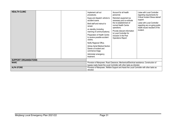| <b>HEALTH CLINIC</b>         |  |  | Implement call out<br>procedures.<br>Equip and dispatch vehicle to<br>accident scene.<br>Brief staff and instruct to<br>remain<br>on standby (including<br>manning of communications).<br>Preparation of Health Centre<br>to receive possible accident<br>victims.<br>Notify Regional Office.<br><b>Advise Aerial Medical Section</b><br>Darwin of incident and<br>commence triage.<br>Administer emergency<br>treatment. | Account for all health<br>personnel.<br>Refurbish equipment as<br>necessary and co-ordinate<br>the re-establishment of<br>normal Health Centre<br>operations.<br>Provide relevant information<br>to Local Controller for<br>inclusion in the Post<br>Operations Report. | Liaise with Local Controller<br>regarding requirements for<br><b>Critical Incident Stress debrief</b><br>support.<br>Liaise with Local Controller<br>regarding any on-going public<br>health issues resultant of the<br>incident. |  |
|------------------------------|--|--|---------------------------------------------------------------------------------------------------------------------------------------------------------------------------------------------------------------------------------------------------------------------------------------------------------------------------------------------------------------------------------------------------------------------------|-------------------------------------------------------------------------------------------------------------------------------------------------------------------------------------------------------------------------------------------------------------------------|-----------------------------------------------------------------------------------------------------------------------------------------------------------------------------------------------------------------------------------|--|
| <b>SUPPORT ORGANISATIONS</b> |  |  |                                                                                                                                                                                                                                                                                                                                                                                                                           |                                                                                                                                                                                                                                                                         |                                                                                                                                                                                                                                   |  |
| <b>WARC</b>                  |  |  | Provision of Manpower, Road Clearance, Mechanical/Electrical assistance, Construction of<br>bypass roads Assist the Local Controller with other tasks as directed.                                                                                                                                                                                                                                                        |                                                                                                                                                                                                                                                                         |                                                                                                                                                                                                                                   |  |
| <b>ALPA STORE</b>            |  |  | Provision of Manpower, Welfare Support and Assist the Local Controller with other tasks as<br>directed.                                                                                                                                                                                                                                                                                                                   |                                                                                                                                                                                                                                                                         |                                                                                                                                                                                                                                   |  |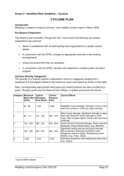# <span id="page-31-0"></span>**Annex F: Identified Risk Guideline – Cyclone**

# **CYCLONE PLAN**

### *Introduction*

Minjilang is subject to tropical cyclones, most notably Cyclone Ingrid in March 2005.

### **Pre-Season Preparation**

The District Local Controller, through the LEC, must ensure the following pre-season preparations are actioned:

- liaison is established with all participating local organisations to update contact details
- in conjunction with the NTES, arrange an appropriate exercise to test existing arrangements
- revise and amend this Plan as necessary
- in consultation with the NTES, develop and implement a suitable public education program

### *Cyclone Severity Categories[7](#page-31-1)*

The severity of a tropical cyclone is described in terms of categories ranging from 1 (weakest) to 5 (strongest) related to the maximum mean wind speed as shown in this table.

Note: Corresponding approximate wind gusts and central pressure are also provided as a guide. Stronger gusts may be observed over hilltops, in gullies and around structures.

|    | <b>Category Maximum</b><br><b>Mean Wind Strongest</b><br>(km/h) | Typical<br>Gust (km/h) | Central<br><b>Pressure</b><br>(hPa) | <b>Typical Effects</b>                                                                                                                                                      |
|----|-----------------------------------------------------------------|------------------------|-------------------------------------|-----------------------------------------------------------------------------------------------------------------------------------------------------------------------------|
|    | 63 - 88                                                         | < 125                  | >985                                | Negligible house damage. Damage to some crops,<br>trees and caravans. Craft may drag moorings                                                                               |
| 2  | 89 - 117                                                        | 125 - 164              | 985 - 970                           | Minor house damage. Significant damage to signs,<br>trees and caravans. Heavy damage to some<br>crops. Risk of power failure. Small craft may break<br>moorings.            |
| l3 | 118 - 159                                                       | 165 - 224              | 970 - 955                           | Some roof and structural damage. Some caravans<br>destroyed. Power failures likely. (e.g. Winifred)                                                                         |
| 4  | 160 - 199                                                       | <b>225 - 279</b>       | 955 - 930                           | Significant roofing loss and structural damage.<br>Many caravans destroyed and blown away.<br>Dangerous airborne debris. Widespread power<br>failures. (e.g. Tracy, Olivia) |
| 5  | > 200                                                           | > 279                  | < 930                               | Extremely dangerous with widespread destruction.<br>(e.g. Vance)                                                                                                            |

 $\overline{a}$ 

<span id="page-31-1"></span><sup>7</sup> Source BOM website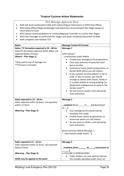# **Tropical Cyclone Action Statements**

|                                                                                                             | TCA Message Approval Flow                                                             |  |  |  |  |  |  |
|-------------------------------------------------------------------------------------------------------------|---------------------------------------------------------------------------------------|--|--|--|--|--|--|
|                                                                                                             | BoM will send Coordination Table with meteorological information to NTES Duty Officer |  |  |  |  |  |  |
|                                                                                                             |                                                                                       |  |  |  |  |  |  |
| NTES (Duty Officer/Regional Manager) will determine recommended Plan Stages based on<br>information to hand |                                                                                       |  |  |  |  |  |  |
|                                                                                                             |                                                                                       |  |  |  |  |  |  |
| NTES passes recommendations to Incident/Regional Controller to confirm Plan Stages                          |                                                                                       |  |  |  |  |  |  |
| NTES sets messages to confirmed Plan Stages and sends completed document to BoM                             |                                                                                       |  |  |  |  |  |  |
| BoM completes and releases TCA                                                                              |                                                                                       |  |  |  |  |  |  |
| <b>Notes</b>                                                                                                | <b>Message Content &amp; Format:</b>                                                  |  |  |  |  |  |  |
| Gales / TC formation expected in 24 - 48 hrs                                                                | <b>Message 1</b>                                                                      |  |  |  |  |  |  |
| Gales/TC formation expected within 48hrs, not                                                               |                                                                                       |  |  |  |  |  |  |
| expected before 24 hours                                                                                    | NTES advises*                                                                         |  |  |  |  |  |  |
| (Watch - Plan Stage 1)                                                                                      | communities under Watch:                                                              |  |  |  |  |  |  |
|                                                                                                             | Finalise your emergency kit preparations;<br>$\bullet$                                |  |  |  |  |  |  |
| *Only used at top of message run<br>** if Darwin is included                                                | Clear your premises of potential wind<br>$\bullet$<br>borne missiles;                 |  |  |  |  |  |  |
|                                                                                                             | Commence home shelter preparations, or                                                |  |  |  |  |  |  |
|                                                                                                             | decide NOW where you will shelter;                                                    |  |  |  |  |  |  |
|                                                                                                             | If your present accommodation is not to<br>$\bullet$                                  |  |  |  |  |  |  |
|                                                                                                             | code, or you're unsure, you should                                                    |  |  |  |  |  |  |
|                                                                                                             | arrange to shelter with friends, family or                                            |  |  |  |  |  |  |
|                                                                                                             | in a public shelter or strong building, [or                                           |  |  |  |  |  |  |
|                                                                                                             | designated underground car parks in the                                               |  |  |  |  |  |  |
|                                                                                                             | Darwin area]**;                                                                       |  |  |  |  |  |  |
|                                                                                                             | Do not move to shelter until advised by                                               |  |  |  |  |  |  |
|                                                                                                             | local authorities.                                                                    |  |  |  |  |  |  |
|                                                                                                             |                                                                                       |  |  |  |  |  |  |
| Gales expected in 12 - 24 hrs                                                                               | <b>Message 2</b>                                                                      |  |  |  |  |  |  |
| Gales expected within 24 hours, not expected                                                                |                                                                                       |  |  |  |  |  |  |
| within 12 hours                                                                                             | residents [from______ to____] or [east/west                                           |  |  |  |  |  |  |
|                                                                                                             | $of \quad$ ]                                                                          |  |  |  |  |  |  |
| (Warning - Plan Stage 2)                                                                                    | Your emergency kit should now be                                                      |  |  |  |  |  |  |
|                                                                                                             | complete and ready;                                                                   |  |  |  |  |  |  |
|                                                                                                             | Finalise home shelter preparations, or<br>$\bullet$                                   |  |  |  |  |  |  |
|                                                                                                             | know now where you will shelter;                                                      |  |  |  |  |  |  |
|                                                                                                             | Do not move to shelter until advised by                                               |  |  |  |  |  |  |
|                                                                                                             | local authorities                                                                     |  |  |  |  |  |  |
|                                                                                                             | [Insert point for Watch Message 1 -                                                   |  |  |  |  |  |  |
|                                                                                                             | "communities under watch"]                                                            |  |  |  |  |  |  |
|                                                                                                             |                                                                                       |  |  |  |  |  |  |
|                                                                                                             |                                                                                       |  |  |  |  |  |  |
| Gales expected in $6 - 12$ hrs                                                                              | <b>Message 3</b>                                                                      |  |  |  |  |  |  |
| Gales expected within 12 hours, not expected                                                                |                                                                                       |  |  |  |  |  |  |
| before 6 hours                                                                                              | residents [from $\rule{1em}{0.15mm}$ to $\rule{1em}{0.15mm}$ [west/east of            |  |  |  |  |  |  |
|                                                                                                             |                                                                                       |  |  |  |  |  |  |
| (Warning - Plan Stage 3)                                                                                    | A CYCLONE IS APPROACHING:                                                             |  |  |  |  |  |  |
|                                                                                                             | Public shelters are now open [in Darwin                                               |  |  |  |  |  |  |
| SEWS may be applied at this point                                                                           | this includes identified under cover car                                              |  |  |  |  |  |  |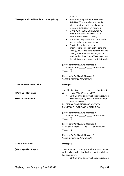| Messages are listed in order of threat priority     | parks];<br>If not sheltering at home, PROCEED<br>IMMEDIATELY to shelter with family,<br>friends or at one of the public shelters -<br>take your emergency kit with you;<br>MAKE YOUR DECISION QUICKLY AS<br>WINDS ARE SHORTLY EXPECTED TO<br>REACH A DANGEROUS LEVEL;<br>Make final preparations to home shelter<br>and take shelter as gales arrive;<br>Private Sector businesses and<br>organisations still open at this time are<br>strongly advised to consider securing and<br>closing their premises. Employers are<br>reminded of their Duty of Care to ensure<br>the safety of any employees still at work.<br>[Insert point for Warning Message 2 - |
|-----------------------------------------------------|--------------------------------------------------------------------------------------------------------------------------------------------------------------------------------------------------------------------------------------------------------------------------------------------------------------------------------------------------------------------------------------------------------------------------------------------------------------------------------------------------------------------------------------------------------------------------------------------------------------------------------------------------------------|
|                                                     | " residents [from ______ to ____ ] or [east/west<br>of $] '']$                                                                                                                                                                                                                                                                                                                                                                                                                                                                                                                                                                                               |
|                                                     | [Insert point for Watch Message 1 -<br>"communities under watch"]                                                                                                                                                                                                                                                                                                                                                                                                                                                                                                                                                                                            |
| <b>Gales expected within 6 hrs</b>                  | <b>Message 4</b>                                                                                                                                                                                                                                                                                                                                                                                                                                                                                                                                                                                                                                             |
| (Warning - Plan Stage 4)<br><b>SEWS recommended</b> | residents [from _______to_____] [west/east<br>of ________], to TAKE SHELTER NOW<br>• DO NOT drive or move about outside, you<br>will be advised by local authorities when<br>it is safe to do so<br>REPEATING: CONDITIONS ARE NOW AT A<br>DANGEROUS LEVEL, TAKE SHELTER NOW                                                                                                                                                                                                                                                                                                                                                                                  |
|                                                     | [Insert point for Warning Message 3 -<br>" residents [from ______ to ____ ] or [east/west<br>of $] '']$                                                                                                                                                                                                                                                                                                                                                                                                                                                                                                                                                      |
|                                                     | [Insert point for Warning Message 2 -<br>"residents [from to ] or [east/west<br>of $\Box$ "]                                                                                                                                                                                                                                                                                                                                                                                                                                                                                                                                                                 |
|                                                     | [Insert point for Watch Message 1 -<br>"communities under watch"]                                                                                                                                                                                                                                                                                                                                                                                                                                                                                                                                                                                            |
| <b>Gales in Area Now</b>                            | <b>Message 5</b>                                                                                                                                                                                                                                                                                                                                                                                                                                                                                                                                                                                                                                             |
| (Warning – Plan Stage 5)                            | communities currently in shelter should remain<br>until advised by local authorities that the all clear<br>has been given.<br>DO NOT drive or move about outside, you                                                                                                                                                                                                                                                                                                                                                                                                                                                                                        |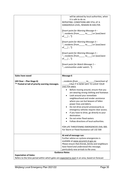|                                                                                                                                  | will be advised by local authorities, when<br>it is safe to do so.<br>REPEATING: CONDITIONS ARE STILL AT A<br>DANGEROUS LEVEL, REMAIN IN SHELTER.<br>[Insert point for Warning Message 4 -<br>" residents [from ______ to ____ ] or [east/west<br>of $]  ']$<br>[Insert point for Warning Message 3 -<br>" residents [from to ] or [east/west<br>of $]  ']$<br>[Insert point for Warning Message 2 -<br>"residents [from______ to_____] or [east/west<br>of $]  ']$<br>[Insert point for Watch Message 1 -<br>"communities under watch"]                                                                                                                                                                    |
|----------------------------------------------------------------------------------------------------------------------------------|-------------------------------------------------------------------------------------------------------------------------------------------------------------------------------------------------------------------------------------------------------------------------------------------------------------------------------------------------------------------------------------------------------------------------------------------------------------------------------------------------------------------------------------------------------------------------------------------------------------------------------------------------------------------------------------------------------------|
| <b>Gales have eased</b>                                                                                                          | <b>Message 6</b>                                                                                                                                                                                                                                                                                                                                                                                                                                                                                                                                                                                                                                                                                            |
| (All Clear – Plan Stage 6)<br>** Posted at tail of priority warning messages.                                                    | residents [from $\qquad \qquad$ to $\qquad$ ] [west/east of<br>] that IT IS NOW SAFE TO LEAVE YOUR<br>SHELTER AREA.<br>Before moving around, ensure that you<br>are wearing strong clothing and footwear.<br>Look around your immediate<br>$\bullet$<br>neighbourhood and render assistance<br>where you can but beware of fallen<br>power lines and debris.<br>Do not drive around unnecessarily as<br>emergency vehicles require clear access.<br>If you have to drive, go directly to your<br>destination.<br>Do not enter flood waters<br>Follow directions of local authorities.<br>FOR LIFE THREATENING EMERGENCIES DIAL 000.<br>For Storm or Flood Assistance call 132 500<br>At end of message run: |
|                                                                                                                                  | Further advice on cyclone emergencies is                                                                                                                                                                                                                                                                                                                                                                                                                                                                                                                                                                                                                                                                    |
|                                                                                                                                  | available at www.securent.nt.gov.au<br>Please ensure that friends, family and neighbours                                                                                                                                                                                                                                                                                                                                                                                                                                                                                                                                                                                                                    |
|                                                                                                                                  | have heard and understood this message,<br>particularly new arrivals to the area.                                                                                                                                                                                                                                                                                                                                                                                                                                                                                                                                                                                                                           |
|                                                                                                                                  | <b>Guidance Notes</b>                                                                                                                                                                                                                                                                                                                                                                                                                                                                                                                                                                                                                                                                                       |
| <b>Expectation of Gales:</b><br>Refers to the time period within which gales are expected to start in an area, based on forecast |                                                                                                                                                                                                                                                                                                                                                                                                                                                                                                                                                                                                                                                                                                             |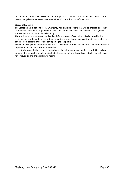movement and intensity of a cyclone. For example, the statement "Gales expected in 6 – 12 hours" means that gales are expected in an area within 12 hours, but not before 6 hours.

### **Stages 1 through 6**

The Stages within a Regional/Local Emergency Plan describe actions that will be undertaken locally to prepare or respond to requirements under their respective plans. Public Action Messages will state what we want the public to be doing.

There will be several plans activated and at different stages of activation. It is also possible that some actions may be undertaken, without a particular stage having been activated  $-e.g.$  sheltering of vulnerable persons prior to shelters opening to the public.

Activation of stages will occur based on forecast conditions/threat, current local conditions and state of preparation with local resources available.

It is entirely probable that persons sheltering will be doing so for an extended period, 12 – 18 hours or more. It is preferable people are in shelter before arrival of gales and are not released until gales have moved on and are not likely to return.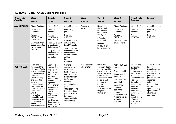| <b>ACTIONS TO BE TAKEN Cyclone Minjilang</b> |  |
|----------------------------------------------|--|
|----------------------------------------------|--|

| Organisation<br>/Provider         | Stage 1<br><b>Watch</b>                                                                                                                                                                                                                                                                                                                     | Stage 2.<br>Warning                                                                                                                                                                                                                                                                                                    | Stage 3<br>Warning                                                                                                                                                                                                                                                                           | Stage 4<br>Warning               | Stage 5<br>Warning                                                                                                                                                                                                                 | Stage 6<br><b>All Clear</b>                                                                                                                                                                                                                                 | <b>Transition to</b><br><b>Recovery</b>                                                                                                                                                                                                                                                   | <b>Recovery</b>                                                                                                                                                                                                                |
|-----------------------------------|---------------------------------------------------------------------------------------------------------------------------------------------------------------------------------------------------------------------------------------------------------------------------------------------------------------------------------------------|------------------------------------------------------------------------------------------------------------------------------------------------------------------------------------------------------------------------------------------------------------------------------------------------------------------------|----------------------------------------------------------------------------------------------------------------------------------------------------------------------------------------------------------------------------------------------------------------------------------------------|----------------------------------|------------------------------------------------------------------------------------------------------------------------------------------------------------------------------------------------------------------------------------|-------------------------------------------------------------------------------------------------------------------------------------------------------------------------------------------------------------------------------------------------------------|-------------------------------------------------------------------------------------------------------------------------------------------------------------------------------------------------------------------------------------------------------------------------------------------|--------------------------------------------------------------------------------------------------------------------------------------------------------------------------------------------------------------------------------|
| <b>ALL MEMBERS</b>                | Attend Briefings.<br>Inform key<br>personnel.<br>Provide<br>SITREPS on<br>preparations.<br>Carry out other<br>duties requested<br>by the Local<br>Controller.                                                                                                                                                                               | Attend Briefings.<br>Inform key<br>personnel.<br>Provide<br>SITREPS on<br>preparations.<br>The LEC to meet<br>at least daily<br>during Stage 2.<br>Carry out other<br>duties requested<br>by the Local<br>Controller.                                                                                                  | Attend Briefings.<br>Inform key<br>personnel.<br>Provide<br>SITREPS.<br>Carry out other<br>duties by the<br>Local Controller.<br>Take or proceed<br>to shelter on the<br>advice of the<br><b>Local Controller</b><br>or BoM<br>broadcast<br>warnings.                                        | Remain in<br>shelter.            | Remain in<br>shelter until<br>requested to<br>commence<br>survey duties.<br>Inform key<br>personnel.<br>Provide<br>SITREPS on<br>known impacts.                                                                                    | Attend Briefings.<br>Inform key<br>personnel.<br>Provide<br>SITREPS.<br><b>Confirm Debrief</b><br>arrangements.                                                                                                                                             | Attend Briefings.<br>Inform key<br>personnel.<br>Provide<br>SITREPS.                                                                                                                                                                                                                      | Attend Briefings.<br>Inform key<br>personnel.<br>Provide<br>SITREPS.                                                                                                                                                           |
| <b>LOCAL</b><br><b>CONTROLLER</b> | Convene a<br>meeting of the<br>Minjilang LEC to<br>advise members<br>of the details of<br>the Cyclone<br>Watch Message<br>and ascertain<br>state of<br>preparedness.<br>Coordinate the<br>dissemination of<br>the Cyclone<br>Watch<br>information to<br>the public and<br>relevant coastal<br>communities.<br>Ensure that<br>communications | Convene a<br>meeting of the<br>Minjilang LEC.<br>Delegating<br>activities and<br>ascertain<br>position and<br>capabilities of all<br>agencies.<br>Warn Shelter<br>Managers to<br>commence<br>shelter<br>preparation.<br>Ensure that<br>personnel<br>identified for<br>deployment to<br>other locations<br>are briefed. | Convene a<br>meeting of the<br>Minjilang LEC.<br>Notify of stage 3.<br>Ensure that the<br>dissemination of<br>the Cyclone<br>Warning<br>information to the<br>public.<br>At the appropriate<br>time advise those<br>persons at risk to<br>take shelter.<br>Supervise Shelter<br>Arrangements | All personal to<br>take shelter. | When it is<br>considered safe<br>to move outside,<br>give direction to<br>survey teams to<br>ascertain the<br>extent of injury to<br>persons and<br>damage to<br>property.<br>Provide<br>SITREPS to the<br>Regional<br>Controller. | Notify NTES Duty<br>Officer.<br>Advise the public<br>as appropriate<br>when it is<br>considered safe to<br>leave shelter.<br>Commence<br>response<br>operations,<br>damage<br>assessments and<br>monitor clean up<br>and relief<br>operations.<br>$\cdot$ . | Prepare and<br>forward final<br>SITREP.<br>In conjunction<br>with the NT<br>Recovery<br>Coordinator and<br>Regional<br>Controller<br>facilitate the<br>handover of<br>recovery<br>operations (if<br>required).<br>Begin<br>compilation of<br>information for<br>Post Operation<br>Report. | Assist the local<br>Recovery<br>Coordinator as<br>requested.<br>Resume normal<br>policing<br>prevention and<br>response<br>activities.<br>Any ongoing<br>recovery<br>operations may<br>operate from<br>alternative<br>premises |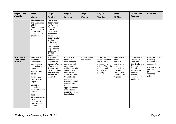| Organisation<br>/Provider                            | Stage 1<br><b>Watch</b>                                                                                                                                                                                                                                                                                                                 | Stage 2.<br>Warning                                                                                                                                                                                                                                                        | Stage 3<br>Warning                                                                                                                                                                                                                                                                                                      | Stage 4<br>Warning               | Stage 5<br>Warning                                                                                                                     | Stage 6<br><b>All Clear</b>                                                                                                                                   | <b>Transition to</b><br><b>Recovery</b>                                                                                                                             | <b>Recovery</b>                                                                                                                        |
|------------------------------------------------------|-----------------------------------------------------------------------------------------------------------------------------------------------------------------------------------------------------------------------------------------------------------------------------------------------------------------------------------------|----------------------------------------------------------------------------------------------------------------------------------------------------------------------------------------------------------------------------------------------------------------------------|-------------------------------------------------------------------------------------------------------------------------------------------------------------------------------------------------------------------------------------------------------------------------------------------------------------------------|----------------------------------|----------------------------------------------------------------------------------------------------------------------------------------|---------------------------------------------------------------------------------------------------------------------------------------------------------------|---------------------------------------------------------------------------------------------------------------------------------------------------------------------|----------------------------------------------------------------------------------------------------------------------------------------|
|                                                      | are established<br>and maintained<br>with the<br>Superintendent<br>and Duty Officer,<br>NTES and<br>advise state of<br>preparedness.                                                                                                                                                                                                    | Ensure that<br>dissemination of<br>the Cyclone<br>Warning<br>information to<br>the public is<br>maintained.<br>Advise<br>Superintendent<br>Northern<br>Division and<br>Duty Officer,<br>NTES of state of<br>preparedness<br>and ascertain<br><b>SITREP</b><br>requirement. |                                                                                                                                                                                                                                                                                                                         |                                  |                                                                                                                                        |                                                                                                                                                               |                                                                                                                                                                     |                                                                                                                                        |
| <b>NORTHERN</b><br><b>TERRITORY</b><br><b>POLICE</b> | <b>Brief Station</b><br>members<br>Disseminate<br>warnings and<br>information as<br>required.<br>Maintain normal<br>police duties.<br>Assist Local<br>Controller as<br>required.<br>Ensure all<br>operational<br>vehicles are fully<br>fuelled.<br><b>Test</b><br>communications<br>systems<br>including HF<br>radio and sat<br>phones. | <b>Brief Station</b><br>members and<br>Disseminate<br><b>Cyclone Warning</b><br>information as<br>directed by the<br><b>Local Controller</b><br>and advise of<br>information<br>received                                                                                   | <b>Brief Police</b><br>members<br>Limit transport<br>and ensure all<br>emergency<br>vehicles are fully<br>operational and<br>fully fuelled.<br>Assist the Local<br>Controller as<br>required.<br>Commence final<br>patrol of area.<br>At the<br>appropriate time<br>advise those<br>persons at risk to<br>take shelter. | All personal to<br>take shelter. | At the direction<br>of the Controller<br>move outside<br>ascertain the<br>extent of injury to<br>persons and<br>damage to<br>property. | <b>Brief Station</b><br>Staff.<br>Assist in<br>advising the<br>public of the<br>conclusion of the<br>operation.<br>Assist Local<br>Controller as<br>required. | In conjunction<br>with the NT<br>Recovery<br>Coordinator and<br>Regional<br>Controller<br>facilitate the<br>handover of<br>recovery<br>operations (if<br>required). | Assist the Local<br>Recovery<br>Coordinator as<br>requested.<br>Resume normal<br>policing<br>prevention and<br>response<br>activities. |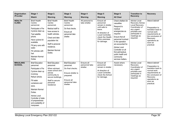| Organisation<br>/Provider         | Stage 1<br><b>Watch</b>                                                                                                                                                                                                                                                                             | Stage 2.<br>Warning                                                                                                                                                                                          | Stage 3<br><b>Warning</b>                                                                                                              | Stage 4<br>Warning                       | Stage 5<br>Warning                                                                                                                                                    | Stage 6<br><b>All Clear</b>                                                                                                                                                                                                                                                                    | <b>Transition to</b><br><b>Recovery</b>                                                                                                           | <b>Recovery</b>                                                                                                                                                     |
|-----------------------------------|-----------------------------------------------------------------------------------------------------------------------------------------------------------------------------------------------------------------------------------------------------------------------------------------------------|--------------------------------------------------------------------------------------------------------------------------------------------------------------------------------------------------------------|----------------------------------------------------------------------------------------------------------------------------------------|------------------------------------------|-----------------------------------------------------------------------------------------------------------------------------------------------------------------------|------------------------------------------------------------------------------------------------------------------------------------------------------------------------------------------------------------------------------------------------------------------------------------------------|---------------------------------------------------------------------------------------------------------------------------------------------------|---------------------------------------------------------------------------------------------------------------------------------------------------------------------|
| <b>HEALTH</b><br><b>CLINIC</b>    | <b>Brief Health</b><br>Centre<br>personnel.<br>Participate in Pre<br>Cyclone clean up.<br><b>Test satellite</b><br>phone.<br>Have cyclone kit<br>available.<br>Fill jerry cans with<br>water.<br>Fill vehicles with<br>fuel.<br><b>Maintain Normal</b><br><b>Duties</b>                             | <b>Brief Health</b><br>Centre<br>personnel.<br>Medical staff to<br>have access to<br>health vehicles.<br>Check and take<br>population list.<br>Staff to personal<br>residence.<br>Maintain Normal<br>Duties. | <b>Brief Health</b><br>Centre<br>personnel.<br>Do final checks.<br>Ensure all<br>personnel take<br>shelter.                            | All personal to<br>take shelter.         | Ensure all<br>personnel<br>remain in shelter<br>until safe to<br>leave.<br>At direction of<br>Local Controller,<br>check the Health<br>Clinic premises<br>for damage. | Check shelters for<br>casualties.<br>Respond to<br>medical<br>emergencies as<br>required.<br>Ensure that all<br>personnel involved<br>in the operation<br>are accounted for.<br>Advise Local<br>Controller on all<br>first aid/medical,<br>public health and<br>community<br>services matters. | Advise Local<br>Recovery Advise<br>Local Recovery<br>Coordinator of<br>any urgent<br>priorities and<br>participate in<br>meetings as<br>required. | Attend debrief<br>Preparation to<br>transition back to<br>normal work<br>requirements at<br>the conclusion of<br>Recovery<br>operations as<br>soon as<br>practical. |
| <b>MINJILANG</b><br><b>SCHOOL</b> | <b>Brief Education</b><br>personnel.<br>Participate in Pre<br>Cyclone clean up<br>involving:<br>Refuel vehicle.<br>Fill water<br>containers and<br>store.<br><b>Maintain Normal</b><br>Duties.<br><b>Advise Local</b><br>Controller of state<br>of preparedness<br>and availability of<br>manpower. | <b>Brief Education</b><br>personnel.<br>When advised,<br>close school and<br>advise<br>community to<br>secure buildings.<br>Staff to secure<br>personal<br>residence                                         | <b>Brief Education</b><br>personnel.<br>Do final checks.<br>Ensure shelter is<br>prepared.<br>Ensure all<br>personnel take<br>shelter. | Ensure all<br>personnel take<br>shelter. | Ensure all<br>personnel<br>remain in shelter<br>At direction of<br>Local Controller,<br>check the School<br>for damage.                                               | Assist where<br>necessary.                                                                                                                                                                                                                                                                     | <b>Advise Local</b><br>Recovery<br>Coordinator of<br>any urgent<br>priorities and<br>participate in<br>meetings as<br>required.                   | Attend debrief<br>Preparation to<br>transition back to<br>normal work<br>requirements at<br>the conclusion of<br>Recovery<br>operations as<br>soon as<br>practical. |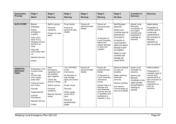| Organisation<br>/Provider                            | Stage 1<br>Watch                                                                                                                                                                                                          | Stage 2.<br>Warning                                                                                                                                                                   | Stage 3<br>Warning                                                                                                                                                                                                    | Stage 4<br>Warning                       | Stage 5<br>Warning                                                                                                                                                                                                                                | Stage 6<br><b>All Clear</b>                                                                                                                                                                                                                                                          | <b>Transition to</b><br><b>Recovery</b>                                                                                                                                           | <b>Recovery</b>                                                                                                                                                     |
|------------------------------------------------------|---------------------------------------------------------------------------------------------------------------------------------------------------------------------------------------------------------------------------|---------------------------------------------------------------------------------------------------------------------------------------------------------------------------------------|-----------------------------------------------------------------------------------------------------------------------------------------------------------------------------------------------------------------------|------------------------------------------|---------------------------------------------------------------------------------------------------------------------------------------------------------------------------------------------------------------------------------------------------|--------------------------------------------------------------------------------------------------------------------------------------------------------------------------------------------------------------------------------------------------------------------------------------|-----------------------------------------------------------------------------------------------------------------------------------------------------------------------------------|---------------------------------------------------------------------------------------------------------------------------------------------------------------------|
| <b>ALPA STORE</b>                                    | <b>Brief</b> all<br>employees.<br>Ready<br>emergency<br>supplies.<br>Clear yard /<br>store of any<br>dangerous items<br>and lock up<br>store.<br>Help with<br>community clean<br>up.<br><b>Maintain Normal</b><br>Duties. | Staff to secure<br>Personal<br>residence.<br>Prepare to close<br>store.                                                                                                               | Final checks.<br>Ensure all<br>personnel take<br>shelter.                                                                                                                                                             | Ensure all<br>personnel take<br>shelter. | Ensure all<br>personnel take<br>shelter.<br>At direction of<br>Local Controller,<br>attend and<br>assess damage<br>to store and<br>supplies                                                                                                       | <b>Brief Education</b><br>personnel.<br>Advise Local<br>Controller when all<br>personnel are<br>accounted for<br>At direction of<br>Local Controller,<br>attend and assess<br>damage to store<br>and supplies.<br>Report to Local<br>Controller with<br>damage and<br>supply stocks. | <b>Advise Local</b><br>Recovery<br>Coordinator of<br>any urgent<br>priorities and<br>participate in<br>meetings as<br>required.                                                   | Attend debrief<br>Preparation to<br>transition back to<br>normal work<br>requirements at<br>the conclusion of<br>Recovery<br>operations as<br>soon as practical.    |
| <b>ESSENTIAL</b><br><b>SERVICES -</b><br><b>PAWC</b> | Participate in Pre<br>Cyclone clean<br>up.<br>Fill the main<br>town supply<br>water tank.<br>Check all bores<br>and Tanks.<br>Activate<br>Organisational<br>Cyclone<br>Procedures.<br><b>Maintain Normal</b><br>Duties.   | Have<br>Emergency<br>equipment and<br>wet weather<br>gear together.<br>Check Sat<br>phone or Radio.<br>Staff to secure<br>Personal<br>residence.<br><b>Maintain Normal</b><br>duties. | Turn off PAWC<br>to the<br>Community.<br>All fuel taps on<br>bulk storage<br>tanks are turned<br>off.<br>Power house<br>Secured.<br>Water supply<br>turned off at<br>tank.<br>Ensure all<br>personnel take<br>shelter | Ensure all<br>personnel take<br>shelter. | Ensure all<br>personnel take<br>shelter.<br>At Direction of<br><b>Local Controller</b><br>commence<br>survey.<br>Advise Police of<br>damage and<br>what essential<br>services are still<br>in operation and<br>assistance is<br>required, if any. | Remove hazards<br>as soon as<br>possible.<br>Begin repairing<br>essential<br>services.<br><b>Restore facilities</b><br>and resume<br>normal duties as<br>soon as possible                                                                                                            | <b>Assist Local</b><br>Controller as<br>required.<br><b>Advise Local</b><br>Recovery<br>Coordinator of any<br>urgent priorities<br>and participate in<br>meetings as<br>required. | Attend debrief<br>Preparation to<br>transition back to<br>normal work<br>requirements at<br>the conclusion of<br>Recovery<br>operations as<br>soon as<br>practical. |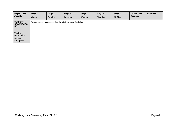| Organisation<br>/Provider                         | Stage 1<br><b>Watch</b> | Stage 2.<br>Warning | Stage 3<br>Warning                                              | Stage 4<br>Warning | Stage 5<br>Warning | Stage 6<br><b>All Clear</b> | <b>Transition to</b><br><b>Recovery</b> | Recovery |
|---------------------------------------------------|-------------------------|---------------------|-----------------------------------------------------------------|--------------------|--------------------|-----------------------------|-----------------------------------------|----------|
| <b>SUPPORT</b><br><b>ORGANISATIO</b><br><b>NS</b> |                         |                     | Provide support as requested by the Minjilang Local Controller. |                    |                    |                             |                                         |          |
| <b>Telstra</b><br><b>Corporation</b>              |                         |                     |                                                                 |                    |                    |                             |                                         |          |
| <b>Private</b><br><b>Enterprise</b>               |                         |                     |                                                                 |                    |                    |                             |                                         |          |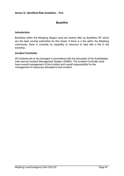### <span id="page-41-0"></span>**Annex G: Identified Risk Guideline – Fire**

# **Bushfire**

# *Introduction*

Bushfires within the Minjilang Region area are looked after by Bushfires NT which are the lead combat authorities for this threat. If there is a fire within the Minjilang community, there is currently no capability or resource to deal with a fire in the township.

# *Incident Controller*

All incidents are to be managed in accordance with the principals of the Australasian Inter-service Incident Management System (AIIMS). The Incident Controller shall have overall management of the incident and overall responsibility for the management of resources allocated to that incident.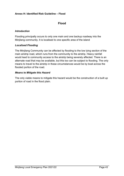# <span id="page-42-0"></span>**Annex H: Identified Risk Guideline – Flood**

# **Flood**

# *Introduction*

Flooding principally occurs to only one main and one backup roadway into the Minjilang community. It is localised to one specific area of the island

# *Localised Flooding*

The Minjilang Community can be affected by flooding to the low lying section of the main airstrip road, which runs from the community to the airstrip. Heavy rainfall would lead to community access to the airstrip being severely affected. There is an alternate road that may be available, but this too can be subject to flooding. The only means to travel to the airstrip in these circumstances would be by boat across the flooded portion of the road.

# *Means to Mitigate this Hazard*

The only viable means to mitigate this hazard would be the construction of a built up portion of road in the flood plain.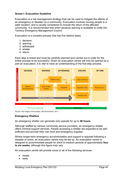# <span id="page-43-0"></span>**Annex I: Evacuation Guideline**

Evacuation is a risk management strategy that can be used to mitigate the effects of an emergency or disaster on a community. Evacuation involves moving people to a safer location, and is usually considered to include the return of the affected community. It is recommended that when advance warning is available to notify the Territory Emergency Management Council.

Evacuation is a complex process that has five distinct steps:

- 1. decision
- 2. warning
- 3. withdrawal
- 4. shelter
- 5. return.

Each step is linked and must be carefully planned and carried out in order for the entire process to be successful. Given an evacuation centre will only be opened as a part an evacuation, it is vital to have an understanding of the five-step process.



*Source: Five stages of Evacuation, Qld Government, 2011.*

# **Emergency Shelters**

An emergency shelter can generally only operate for up to **48 hours.**

Although staffed by various community service providers, an emergency shelter offers minimal support services. People accessing a shelter are expected to be selfsufficient and provide their own food and emergency supplies.

Where longer-term emergency accommodation and support is required following a disaster or event, an evacuation centre may be set up. An evacuation centre is designed to accommodate people for short to medium periods of approximately **four to six weeks**, although this figure may vary.

An evacuation centre will provide some or all of the following services:

- meals
- beds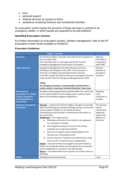- linen
- personal support
- medical services (or access to them)
- assistance accessing finances and recreational activities

An evacuation centre implies the provision of these services in contrast to an emergency shelter, in which people are expected to be self-sufficient.

# **Identified Evacuation Centres**

For further information on evacuation centres / shelters management, refer to the NT Evacuation Centre Guide available on WebEOC.

|                                                                                                               | <b>Stage 1 - Decision</b>                                                                                                                                                                                                                                                                                                                                                                                                                                                                                                                                                                                                                                                                                                                                                                                                                                                                                                                                                                                                                  |                                                                                                |
|---------------------------------------------------------------------------------------------------------------|--------------------------------------------------------------------------------------------------------------------------------------------------------------------------------------------------------------------------------------------------------------------------------------------------------------------------------------------------------------------------------------------------------------------------------------------------------------------------------------------------------------------------------------------------------------------------------------------------------------------------------------------------------------------------------------------------------------------------------------------------------------------------------------------------------------------------------------------------------------------------------------------------------------------------------------------------------------------------------------------------------------------------------------------|------------------------------------------------------------------------------------------------|
| <b>Authority</b>                                                                                              | The Northern Region Controller will authorise the activation of<br>the evacuation plan.<br>This evacuation plan is to be approved by the Territory<br>Emergency Management Council prior to activation.                                                                                                                                                                                                                                                                                                                                                                                                                                                                                                                                                                                                                                                                                                                                                                                                                                    | Regional<br>Controller in<br>conjunction<br>with TEMC                                          |
| <b>Legal references</b>                                                                                       | Emergency Management Act 2013 and approved Local<br>Minjilang Local Emergency Plan (LEP). If an evacuation is<br>imminent it is highly recommended that the Territory<br>Controller request the Minister declare an Emergency Situation<br>under section 18 of the Emergency Management Act 2013.<br>*NOTE:<br>An emergency situation is automatically activated when a<br>cyclone watch or warning is declared (duration 3 days max)                                                                                                                                                                                                                                                                                                                                                                                                                                                                                                                                                                                                      | Minister<br>declares an<br>Emergency<br>Situation.                                             |
| <b>Alternative to</b><br>evacuation? i.e. shelter<br>in place, temporary<br>accommodation on-<br>site/nearby. | Residents will be progressively relocated within the community<br>to the Cyclone Shelter for pre staging; post a cyclone impact.<br>Refer to the Minjilang staging arrangements.                                                                                                                                                                                                                                                                                                                                                                                                                                                                                                                                                                                                                                                                                                                                                                                                                                                           | Minjilang<br>Local<br>Controller to<br>arrange.                                                |
| <b>Summary of proposed</b><br>evacuation                                                                      | Decision - made by the Northern Region Emergency Controller<br>when the Minjilang has sustained damage during a cyclone that<br>cannot support residents in situ during recovery.<br>The Minjilang Local Controller to disseminate information to<br>the community.<br>Withdrawal - Four stage process;<br>Minjilang community to the shelter to be registered<br>a.<br>for evacuation to Darwin;<br><b>b.</b> Once registered, groups to move to the airstrip<br>assembly area using buses/vehicles;<br>Red Cross to register check utilising Register Find<br>c.<br>Reunite prior to boarding aircraft.<br>Darwin Airport to <location be="" determined="" to=""> using<br/>d.<br/>buses (as per Transport Group arrangements).<br/>Shelter - evacuees will be encouraged to stay with friends or<br/>family. The remainder will be accommodated at an evacuation<br/>centre established in <location be="" determined="" to="">.<br/>Return - to be determined once recovery can sustain return to<br/>Minjilang.</location></location> | The decision<br>will be<br>informed by<br>additional<br>advice from<br>BOM up to<br>that time. |
| <b>Which</b>                                                                                                  | Minjilang community primarily.                                                                                                                                                                                                                                                                                                                                                                                                                                                                                                                                                                                                                                                                                                                                                                                                                                                                                                                                                                                                             | Local                                                                                          |

### **Evacuation Guidelines**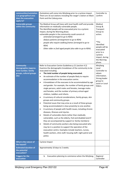| communities/outstation<br>s or geographical area<br>does the evacuation<br>apply to?                 | Outstations will come into Minjilang prior to a cyclone impact.<br>There are 16 out stations including the ranger's station on Black<br>Point and the Coburg area.                                                                                                                                                                                                                                                                                                                                                                                                                                                                                                                                                                                                                                                                                                                                                                                                                                                                                                                                                                                                                                                                                                                                                                                                                                                               | Controller to<br>confirm                                                                                                                                                         |
|------------------------------------------------------------------------------------------------------|----------------------------------------------------------------------------------------------------------------------------------------------------------------------------------------------------------------------------------------------------------------------------------------------------------------------------------------------------------------------------------------------------------------------------------------------------------------------------------------------------------------------------------------------------------------------------------------------------------------------------------------------------------------------------------------------------------------------------------------------------------------------------------------------------------------------------------------------------------------------------------------------------------------------------------------------------------------------------------------------------------------------------------------------------------------------------------------------------------------------------------------------------------------------------------------------------------------------------------------------------------------------------------------------------------------------------------------------------------------------------------------------------------------------------------|----------------------------------------------------------------------------------------------------------------------------------------------------------------------------------|
| <b>Vulnerable groups</b><br>within the community                                                     | The Medical Group will liaise with local health staff and provide<br>information on medically vulnerable people.<br>The Identified people will be evacuated prior to a cyclonic<br>impact, during the Warning phase.<br>vulnerable people in the community could consist of:<br>antenatal (arranged to go to RDH)<br>$\qquad \qquad -$<br>dialysis patients (arrangement to go to RDH)<br>$\overline{\phantom{a}}$<br>people who require walking frames (arranged to go to<br>$\qquad \qquad \blacksquare$<br>RDH)<br>Other older or frail aged people (also able to go to RDH).<br>$\overline{a}$                                                                                                                                                                                                                                                                                                                                                                                                                                                                                                                                                                                                                                                                                                                                                                                                                               | Medical<br>Group &<br>Transport<br>Group to<br>action.<br>*The<br>Identified<br>people will be<br>evacuated<br>prior to a<br>cyclonic<br>impact, during<br>the Warning<br>phase. |
| <b>Community</b><br>demographics (approx.<br>total number, family<br>groups, cultural groups<br>etc) | Refer to Evacuation Centre Guidelines p.21 (section 4.2)<br>Examine the demographic breakdown of the community to be<br>evacuated including<br>The total number of people being evacuated.<br>$\bullet$<br>An estimate of the number of people likely to require<br>$\bullet$<br>accommodation in the evacuation centre.<br>A breakdown of the evacuees to be accommodated by age<br>$\bullet$<br>and gender. For example, the number of family groups and<br>single persons, adult males and females, teenage males<br>and females, and the number of primary school-aged<br>children, toddlers and infants.<br>A summary of cultural considerations, family groups, skin<br>$\bullet$<br>groups and community groups.<br>Potential issues that may arise as a result of these groups<br>$\bullet$<br>being accommodated in close proximity to one another.<br>A summary of people with health issues, including chronic<br>$\bullet$<br>diseases, illnesses and injuries.<br>Details of vulnerable clients (other than medically<br>$\bullet$<br>vulnerable), such as the elderly, frail and disabled (and if<br>they are accompanied by support ie: family members)<br>Details of community workers also being evacuated who<br>٠<br>may be in a position to support the operation of the<br>evacuation centre. Examples include teachers, nurses,<br>health workers, shire staff, housing staff, night patrol and<br>police. | Minjilang<br>Local<br>Controller to<br>obtain<br>information.<br>Strong leader<br>group to<br>assist or Local<br>Elders.                                                         |
| What is the nature of<br>the hazard?                                                                 | Cyclone Impact                                                                                                                                                                                                                                                                                                                                                                                                                                                                                                                                                                                                                                                                                                                                                                                                                                                                                                                                                                                                                                                                                                                                                                                                                                                                                                                                                                                                                   |                                                                                                                                                                                  |
| <b>Estimated duration of</b><br>the potential<br>evacuation?                                         | Approximately 10 days to 2 weeks.                                                                                                                                                                                                                                                                                                                                                                                                                                                                                                                                                                                                                                                                                                                                                                                                                                                                                                                                                                                                                                                                                                                                                                                                                                                                                                                                                                                                |                                                                                                                                                                                  |
| <b>Triggers for the</b><br>evacuation                                                                | Evacuation planning to commence when the Minjilang<br>1.                                                                                                                                                                                                                                                                                                                                                                                                                                                                                                                                                                                                                                                                                                                                                                                                                                                                                                                                                                                                                                                                                                                                                                                                                                                                                                                                                                         | Regional<br>Controller                                                                                                                                                           |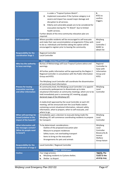| <b>Self-evacuation</b>                                                                     | is under a "Tropical Cyclone Watch".<br>Implement evacuation if the Cyclone category is at<br>2.<br>severe and impact has caused major damage and<br>disruption to all services.<br>3.<br>Elderly and vulnerable people are to be considered for<br>evacuation during the "TC Watch" due to limited<br>health services.<br>Further details of the intra-community relocation plan are<br>required.<br>Where possible residents will be encouraged to self-evacuate<br>and make their own accommodation arrangements if they wish<br>to do so. Individuals and families taking this option will be<br>encouraged to register prior to leaving the community. | &<br>NTES to<br>confirm<br>triggers.<br>Minjilang<br>Local<br>Controller /<br>WARC to<br>obtain list |
|--------------------------------------------------------------------------------------------|-------------------------------------------------------------------------------------------------------------------------------------------------------------------------------------------------------------------------------------------------------------------------------------------------------------------------------------------------------------------------------------------------------------------------------------------------------------------------------------------------------------------------------------------------------------------------------------------------------------------------------------------------------------|------------------------------------------------------------------------------------------------------|
| <b>Responsibility for the</b><br>coordination Stage 1                                      | Regional Controller<br>Local Controller                                                                                                                                                                                                                                                                                                                                                                                                                                                                                                                                                                                                                     |                                                                                                      |
|                                                                                            | <b>Stage 2 - Warning of Evacuation</b>                                                                                                                                                                                                                                                                                                                                                                                                                                                                                                                                                                                                                      |                                                                                                      |
| Who has the authority<br>to issue warnings.                                                | Bureau of Meteorology will issue Tropical Cyclone advice and<br>warnings.<br>All further public information will be approved by the Region 2<br>Regional Controller in consultation with the Public Information<br>Group and NTES.                                                                                                                                                                                                                                                                                                                                                                                                                          | Regional<br>Controller to<br>liaise with<br>Information<br>Group and<br><b>NTES</b>                  |
|                                                                                            | The Minjilang Local Controller will coordinate the dissemination<br>of community level information.                                                                                                                                                                                                                                                                                                                                                                                                                                                                                                                                                         |                                                                                                      |
| <b>Process for issuing</b><br>evacuation warnings<br>and other information                 | At community level, the Minjilang Local Controller is to appoint<br>a community spokesperson to disseminate up to date<br>situational information at community meetings; which are to be<br>held immediately post a convening LEC meeting, at each<br>declared stage of the Minjilang LEP.<br>A media brief approved by the Local Controller at each LEC<br>meeting, will be announced over the Local Radio station                                                                                                                                                                                                                                         | Minjilang<br>Local<br>Controller                                                                     |
|                                                                                            | containing current situational information, relevant safety<br>information, what to prepare, when to self-evacuate, and<br>where to go.                                                                                                                                                                                                                                                                                                                                                                                                                                                                                                                     |                                                                                                      |
| When will warnings be<br>issued (relative to the<br>impact of the hazard)?                 | Immediately upon a decision to evacuate being made the<br>Minjilang LEC will commence coordinating residents to prepare<br>for transport.                                                                                                                                                                                                                                                                                                                                                                                                                                                                                                                   | Minjilang<br>Local<br>Controller                                                                     |
| <b>What information will</b><br>the messages contain?<br>(What do people need<br>to know?) | To be determined: considerations -<br>Outline of the proposed evacuation plan<br>Measure to prepare residences<br>$\overline{\phantom{a}}$<br>Safety issues; not overloading transport<br>$\blacksquare$<br>Items to bring on the evacuation<br>$\overline{\phantom{a}}$<br>Arrangements for pets and animals<br>$\overline{\phantom{a}}$                                                                                                                                                                                                                                                                                                                   | Minjilang<br>Local<br>Controller<br>Biosecurity &<br>Animal<br>Welfare<br>Group liaison              |
| <b>Responsibility for the</b>                                                              | Local Controller / Regional Controller                                                                                                                                                                                                                                                                                                                                                                                                                                                                                                                                                                                                                      |                                                                                                      |
| coordination of stage 2                                                                    | <b>Stage 3 - Withdrawal</b>                                                                                                                                                                                                                                                                                                                                                                                                                                                                                                                                                                                                                                 |                                                                                                      |
| <b>Outline</b>                                                                             | Four stage process;                                                                                                                                                                                                                                                                                                                                                                                                                                                                                                                                                                                                                                         | *NOTE: The                                                                                           |
|                                                                                            | Minjilang residents to Cyclone shelter;<br>a.<br>Shelter to Airport<br>b.                                                                                                                                                                                                                                                                                                                                                                                                                                                                                                                                                                                   | roads to the<br>airstrip may                                                                         |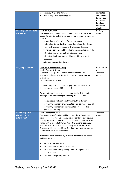|                                                    | Minjilang Airport to Darwin<br>c.<br>Darwin Airport to designated site.<br>d.                                                 | inundated<br>and difficult  |
|----------------------------------------------------|-------------------------------------------------------------------------------------------------------------------------------|-----------------------------|
|                                                    |                                                                                                                               | to pass due                 |
|                                                    |                                                                                                                               | to localised<br>flooding.   |
|                                                    |                                                                                                                               | <b>Council to</b><br>check. |
| <b>Minjilang Community to</b>                      | Lead-NTPOL/WARC                                                                                                               | NTPOL/                      |
| the Airstrip                                       | Overview - the community will gather at the Cyclone shelter to                                                                | <b>WARC</b>                 |
|                                                    | be registered prior to being transported by community buses to<br>the airstrip.                                               |                             |
|                                                    | Risks/other considerations: Evacuation should be<br>$\bullet$                                                                 |                             |
|                                                    | undertaken during daylight hours, if possible. Risks include                                                                  |                             |
|                                                    | inclement weather, persons with infectious diseases,                                                                          |                             |
|                                                    | vulnerable persons, and frail/elderly persons, chronically ill.                                                               |                             |
|                                                    | Estimated time en-route: 5 minutes each way<br>$\bullet$                                                                      |                             |
|                                                    | Estimated timeframe overall: 2 hours utilising current<br>$\bullet$                                                           |                             |
|                                                    | resources.                                                                                                                    |                             |
|                                                    | Alternate transport options: Nil<br>٠                                                                                         |                             |
| <b>Minjilang to Darwin</b>                         | <b>Lead-NTPOL/Transport Group</b>                                                                                             | NTPOL/WARC                  |
|                                                    | Lead - Transport Group                                                                                                        |                             |
|                                                    | Overview - Transport Group has identified commercial<br>operators and the Police Air Section able to provide evacuation       | Transport<br>group          |
|                                                    | assistance.                                                                                                                   |                             |
|                                                    | Total proposed air assets:_________.                                                                                          |                             |
|                                                    | Commercial operators will be charging commercial rates for<br>their services at a cost of $(\xi$ ___________.                 |                             |
|                                                    | The operation will begin at _______hrs with the first aircraft,<br>leaving Darwin and arriving at Minjilang at ______hrs.     |                             |
|                                                    | The operation will continue throughout the day until all<br>$\bullet$                                                         |                             |
|                                                    | community members are evacuated. It is estimated that all                                                                     |                             |
|                                                    | community member can be evacuated by _____<br>hrs                                                                             |                             |
|                                                    | (arriving in Darwin).                                                                                                         |                             |
| <b>Darwin Airport to</b>                           | <b>Lead-Transport Group</b>                                                                                                   | Transport                   |
| <location be<br="" to="">determined&gt;</location> | Overview - Buses (Buslink) will be on standby at Darwin Airport<br>am to receive passengers and continue throughout<br>from   | Group                       |
|                                                    | the day transferring to <site> only, as required. Transport staff</site>                                                      |                             |
|                                                    | will be on the ground at Darwin Airport to marshal passengers                                                                 |                             |
|                                                    | on buses only. Buses to be arranged by the Transport Group.<br>Evacuees will be collected from Darwin Airport and transported |                             |
|                                                    | to the <location be="" determined="" to="">.</location>                                                                       |                             |
|                                                    |                                                                                                                               |                             |
|                                                    | A reception team provided by NT Police will meet evacuees and<br>facilitate transport.                                        |                             |
|                                                    | Details: to be determined<br>$\bullet$                                                                                        |                             |
|                                                    | Estimated time en-route: 15 minutes<br>$\bullet$                                                                              |                             |
|                                                    | Estimated timeframe: possibly 12 hours, dependant on<br>$\bullet$                                                             |                             |
|                                                    | aircraft arrivals.                                                                                                            |                             |
|                                                    | Alternate transport options: Nil                                                                                              |                             |
|                                                    |                                                                                                                               |                             |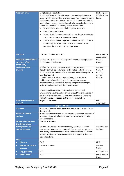| <b>Assembly area</b>                                          | <b>Minjilang cyclone shelter</b><br>Minjilang Shelter will be utilised as an assembly point where<br>people will be transported to after pick up from homes to await<br>registration, buses and onward transport. This will also be the<br>point where evacuee registration will take place. Basic services<br>should be provided i.e. drinking water, information.<br>Services to be provided: Shelter group Red Cross<br>$\bullet$<br><b>Coordinator: Red Cross</b><br>$\bullet$<br>Other details: Evacuee Registration - hard copy registration<br>$\bullet$<br>forms should there be a network failure.<br>Residents will need to register at Shelter or Airport if (self-<br>$\bullet$<br>evacuating) to be permitted access to the evacuation<br>centre at the <location be="" determined="" to="">.</location> | Shelter group<br>/NTPOL / Red<br>Cross.            |
|---------------------------------------------------------------|-----------------------------------------------------------------------------------------------------------------------------------------------------------------------------------------------------------------------------------------------------------------------------------------------------------------------------------------------------------------------------------------------------------------------------------------------------------------------------------------------------------------------------------------------------------------------------------------------------------------------------------------------------------------------------------------------------------------------------------------------------------------------------------------------------------------------|----------------------------------------------------|
| <b>End point</b>                                              | <location be="" determined="" to="">.</location>                                                                                                                                                                                                                                                                                                                                                                                                                                                                                                                                                                                                                                                                                                                                                                      | EOC / Welfare<br>coordination                      |
| <b>Transport of vulnerable</b><br>members of the<br>community | Medical Group to arrange transport of vulnerable people from<br>the community to Darwin.                                                                                                                                                                                                                                                                                                                                                                                                                                                                                                                                                                                                                                                                                                                              | Medical<br>Group                                   |
| <b>Registration and</b><br>tracking                           | Welfare Group to activate registration arrangements.<br>Registration will be undertaken by NT Police and will occur at<br>Minjilang shelter. Names of evacuees will be obtained prior to<br>boarding aircraft.<br>TrackMi may be used as a registration system for those<br>residents who intend staying at the evacuation centre.<br>Residents should be asked to identify any pets remaining to<br>assist Animal Welfare with their ongoing care.<br>Where possible details of individuals and families self-<br>evacuating to be obtained on arrival at the Minjilang Airstrip. If<br>persons are not registered as evacuees or self-evacuees they<br>will not be provided access to the evacuation shelter.                                                                                                       | Welfare<br>Group /<br>NTPOL /<br>Animal<br>Welfare |
| <b>Who will coordinate</b><br>stage 3?                        | Regional Controller.                                                                                                                                                                                                                                                                                                                                                                                                                                                                                                                                                                                                                                                                                                                                                                                                  | EOC<br>coordination.                               |
|                                                               | Stage 4 - Shelter                                                                                                                                                                                                                                                                                                                                                                                                                                                                                                                                                                                                                                                                                                                                                                                                     |                                                    |
| <b>Overview</b>                                               | An evacuation centre will be established at the <location be<br="" to="">determined&gt;.</location>                                                                                                                                                                                                                                                                                                                                                                                                                                                                                                                                                                                                                                                                                                                   |                                                    |
| <b>Alternate shelter</b><br>options.                          | Where possible evacuees will be encouraged to seek alternative<br>accommodation with family, friends or through commercial<br>accommodation.                                                                                                                                                                                                                                                                                                                                                                                                                                                                                                                                                                                                                                                                          |                                                    |
| <b>Estimated duration of</b><br>the shelter phase             | 10 days to 2 weeks.                                                                                                                                                                                                                                                                                                                                                                                                                                                                                                                                                                                                                                                                                                                                                                                                   |                                                    |
| <b>Arrangements for</b><br>domestic animals                   | No domestic animals are to accompany evacuees. Any self-<br>evacuees with domestic animals will be expected to make their<br>own arrangements for the animals. Animal Welfare will follow<br>up with residents at the evacuation centre regarding domestic<br>pets left behind.                                                                                                                                                                                                                                                                                                                                                                                                                                                                                                                                       | <b>Advise Animal</b><br>Welfare                    |
| <b>Roles</b>                                                  |                                                                                                                                                                                                                                                                                                                                                                                                                                                                                                                                                                                                                                                                                                                                                                                                                       |                                                    |
| <b>Director</b><br>$\bullet$                                  | <b>CMC</b>                                                                                                                                                                                                                                                                                                                                                                                                                                                                                                                                                                                                                                                                                                                                                                                                            | <b>CMC</b>                                         |
| <b>Evacuation Centre</b><br>$\bullet$<br><b>Manager</b>       | <b>Territory Families</b>                                                                                                                                                                                                                                                                                                                                                                                                                                                                                                                                                                                                                                                                                                                                                                                             | Welfare<br>Group                                   |
| Log./planning<br>$\bullet$                                    | EOC.                                                                                                                                                                                                                                                                                                                                                                                                                                                                                                                                                                                                                                                                                                                                                                                                                  | NTES / NTPOL                                       |
| <b>Admin teams</b>                                            | EOC                                                                                                                                                                                                                                                                                                                                                                                                                                                                                                                                                                                                                                                                                                                                                                                                                   | CMC/ Welfare<br>Group                              |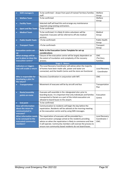| Shift manager/s<br>$\bullet$           | To be confirmed - drawn from pool of trained Territory Families          | Welfare              |
|----------------------------------------|--------------------------------------------------------------------------|----------------------|
|                                        | staff.                                                                   | Group                |
| <b>Welfare Team</b><br>$\bullet$       | To be confirmed                                                          | Welfare              |
|                                        |                                                                          | Group                |
| <b>Facility Team</b><br>$\bullet$      | Selected staff will lead this and arrange any maintenance                |                      |
|                                        | required using existing contractors.                                     |                      |
| <b>Sport and Rec Team</b><br>$\bullet$ | To be confirmed                                                          |                      |
| <b>Medical Team</b><br>$\bullet$       | To be confirmed. It is likely St Johns volunteers will be                | Medical              |
|                                        | requested. Evacuees will be referred to off-site medical                 | Group                |
|                                        | services.                                                                |                      |
| <b>Public Health Team</b>              | <to be="" confirmed=""></to>                                             | <b>Public Health</b> |
|                                        |                                                                          | Group                |
| <b>Transport Team</b>                  | <to be="" confirmed=""></to>                                             | Transport            |
|                                        |                                                                          | Group                |
| <b>Evacuation centre set-</b>          | Refer to the Evacuation Centre Template for set-up                       |                      |
| up                                     | considerations                                                           |                      |
| What strategy will be                  | Closure of the evacuation centre will be largely dependent on            | <b>CMC</b>           |
| put in place to close the              | the extent of inundation and complexity of the recovery                  | /Territory           |
| evacuation centre?                     | process.                                                                 | Families             |
|                                        | <b>Stage 5 - Return</b>                                                  |                      |
| <b>Indicators or triggers</b>          | The Local Recovery Coordinator will advise when the majority             |                      |
| that will enable a return              | of homes have been made safe, power and water are                        | Local Recovery       |
|                                        | connected, and the Health Centre and the store are functional.           | Coordinator          |
|                                        |                                                                          |                      |
| Who is responsible for                 | Recovery Coordination in conjunction with IMT.                           | <b>CMC</b>           |
| developing a plan for                  |                                                                          |                      |
| the return?                            |                                                                          |                      |
| <b>Transportation</b>                  | Movement of evacuees will be by aircraft and bus                         | Transportation       |
|                                        |                                                                          | Plan                 |
|                                        |                                                                          |                      |
| <b>Route/assembly</b><br>$\bullet$     | Evacuees will assemble in the <designated site=""> prior to</designated> |                      |
| points en-route                        | boarding buses. It is important that only individuals and families       | Evacuation           |
|                                        | transported to Darwin as a part of the initial evacuation are            | Centre               |
|                                        | allowed to board buses to the airport.                                   |                      |
| <b>End point</b>                       | To be confirmed.                                                         |                      |
| <b>How will information</b>            | Communication to residents will begin the day before the                 |                      |
| about the return be                    | repatriation. Residents will be advised at the morning meeting           |                      |
| communicated to                        | at the evacuation centre and by using SMS messages.                      |                      |
| evacuees?                              |                                                                          |                      |
| <b>What information needs</b>          | The repatriation of evacuees will be preceded by a                       | Local Recovery       |
| to be conveyed to the                  | communication campaign aimed at the residents providing                  | Coordinator /        |
| evacuated community                    | advice on when the repatriation is likely to commence and how            | CMC.                 |
| members?                               | it will operate. Community members will oversee the process to           |                      |
|                                        | ensure non-community based residents do not board buses.                 |                      |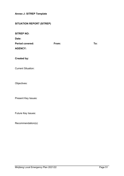<span id="page-50-0"></span>**Annex J: SITREP Template** 

# **SITUATION REPORT (SITREP)**

| <b>SITREP NO:</b> |  |
|-------------------|--|
|-------------------|--|

**Date:**

| <b>Period covered:</b> | From: | To: |
|------------------------|-------|-----|
| <b>AGENCY:</b>         |       |     |
|                        |       |     |
| <b>Created by:</b>     |       |     |
|                        |       |     |

Current Situation:

Objectives:

Present Key Issues:

Future Key Issues:

Recommendation(s):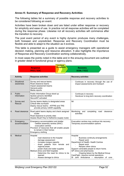# <span id="page-51-0"></span>**Annex K: Summary of Response and Recovery Activities**

The following tables list a summary of possible response and recovery activities to be considered following an event.

Activities have been broken down and are listed under either response or recovery for simplicity and ease of use. In practice not all response activities will be completed during the response phase. Likewise not all recovery activities will commence after the transition to recovery.

The post event period of any event is highly dynamic produces many challenges, both foreseen and unpredicted. Response and Recovery Coordination must be flexible and able to adapt to the situation as it evolves.

This table is presented as a guide to assist emergency managers with operational decision making, planning and resource allocation. It also highlights the importance of Response and Recovery Coordination working collaboratively.

In most cases the points noted in this table and in the ensuing document are outlined in greater detail in functional group or agency plans.

| <b>Response</b>   | <b>Transitional</b> | <b>Recovery</b>   |  |
|-------------------|---------------------|-------------------|--|
| <b>PFES / EOC</b> | <b>Arrangements</b> | <b>DCM / TCCC</b> |  |
|                   |                     |                   |  |

|    | <b>Activity</b>            | <b>Response activities</b>                                                                                                                                                                                                                                                                                  | <b>Recovery activities</b>                                                                                                                                                                                                                                                                                                                      |
|----|----------------------------|-------------------------------------------------------------------------------------------------------------------------------------------------------------------------------------------------------------------------------------------------------------------------------------------------------------|-------------------------------------------------------------------------------------------------------------------------------------------------------------------------------------------------------------------------------------------------------------------------------------------------------------------------------------------------|
| 1. | Situational<br>awareness   | Survey and rescue teams<br>Road clearance teams<br>Impact assessment teams<br>General public<br>Media reports                                                                                                                                                                                               | Continues in recovery through the use of<br>□<br>impact assessments and Outreach                                                                                                                                                                                                                                                                |
| 2. | Public<br>Information      | Public Information Group stood up<br>Spokes persons identified<br>SecureNT activated                                                                                                                                                                                                                        | Continues in recovery<br>□<br>$\Box$<br>Handover to long term recovery coordination                                                                                                                                                                                                                                                             |
| 3. | Survey and<br>Rescue       | Survey teams deploy to designated areas<br>Critical sites surveyed<br>Deploy rescue teams - NTFRS and TRS<br>provide primary USAR capability                                                                                                                                                                | Nil                                                                                                                                                                                                                                                                                                                                             |
| 4. | Road clearance             | Road patrol teams deploy and check assigned<br>routes<br>Road clearance to priority sites<br>Assess Stuart Hwy to Katherine (supply route)                                                                                                                                                                  | completing<br>Monitoring and<br>road<br>clearance<br>activities                                                                                                                                                                                                                                                                                 |
| 5. | Emergency<br>accommodation | Emergency accommodation and shelter<br>- welfare assembly centres (WAC)<br>- evacuation centres<br>Provision of resources that will enable people<br>to remain in their homes<br>Emergency clothing                                                                                                         | Evacuation centres may continue into recovery.<br>Temporary accommodation options                                                                                                                                                                                                                                                               |
| 6. | Medical                    | Hospital<br>road clearance to the hospital<br>damage assessment<br>increase morgue capacity<br>divert patients from remote<br>and<br>regional areas<br>power (fuel) and water supplies<br>Medical clinics and field hospitals<br>Determine the need for clinics to be<br>opened<br>Assess damage to clinics | Hospital<br>Business continuity arrangements<br>Repair work<br>Department of Health- Health Centres<br>Repair work<br>Reopen other clinics<br>Support vulnerable people to return home.<br>GP clinics and pharmacies<br>Ongoing liaison by the Medical Group<br>CareFlight - resume normal operations<br>St John Ambulance – resumption of core |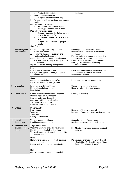|     |                                                 | Deploy field hospital/s<br>Medical presence in WAC<br>Ω.<br>Supplied by the Medical Group<br>Ambulance pick up points on key, cleared<br>Ц<br>roads<br>GP clinics and pharmacies<br>Identify GP clinics able to open<br>Identify pharmacies able to open<br>Medically vulnerable people<br>Support agencies to follow-up and<br>advise the Medical Group<br>Vulnerable people in shelters or<br><b>WAC</b><br>Support for vulnerable people at<br>shelters<br>Care Flight | business                                                                                                                                                                                                                                                                                                                           |
|-----|-------------------------------------------------|---------------------------------------------------------------------------------------------------------------------------------------------------------------------------------------------------------------------------------------------------------------------------------------------------------------------------------------------------------------------------------------------------------------------------------------------------------------------------|------------------------------------------------------------------------------------------------------------------------------------------------------------------------------------------------------------------------------------------------------------------------------------------------------------------------------------|
| 7.  | Essential goods<br>and services                 | Establish emergency feeding and food<br>distribution points<br>Assessing the damage to suppliers and<br>retailers of critical resources<br>Assess the impact on barge operations and<br>any effect on the ability to supply remote<br>communities<br>Implement interim banking arrangements<br>Fuel<br>Fuel suppliers and point of sale                                                                                                                                   | Encourage private business to reopen<br>Monitor levels and availability of critical<br>resources<br>Manage logistics arrangements supplying<br>resources to outlying communities<br>Public Health inspections (food outlets)<br>Banking sector business continuity<br>arrangements<br>Liaise with fuel suppliers, distributors and |
|     |                                                 | Manage fuel supplies to emergency power<br>generation<br>Cash                                                                                                                                                                                                                                                                                                                                                                                                             | wholesalers. Monitor fuel levels<br>Infrastructure repairs                                                                                                                                                                                                                                                                         |
|     |                                                 | Assess damage to banks and ATMs<br>Implement temporary arrangements                                                                                                                                                                                                                                                                                                                                                                                                       | Implement long term arrangements                                                                                                                                                                                                                                                                                                   |
| 8.  | Evacuation                                      | Evacuations within community<br>Evacuation out of community<br>Registration                                                                                                                                                                                                                                                                                                                                                                                               | Support services for evacuees<br>Recovery information for evacuees                                                                                                                                                                                                                                                                 |
| 9.  | <b>Public Health</b>                            | Communicable disease control response<br>Drinking water safety standards<br>Sewage and waste disposal<br>Safe food distribution and advice<br>Vector and vermin control<br>Food and commercial premises                                                                                                                                                                                                                                                                   | Ongoing in recovery                                                                                                                                                                                                                                                                                                                |
|     | 10. Utilities                                   | Power supply<br>Power generation<br>Water supply<br>Sewerage<br><b>Emergency sanitation</b>                                                                                                                                                                                                                                                                                                                                                                               | Recovery of the power network<br>Recovery of water and sewerage infrastructure                                                                                                                                                                                                                                                     |
|     | 11. Impact<br>Assessments                       | Training assessment teams<br>Initial Impact Assessments                                                                                                                                                                                                                                                                                                                                                                                                                   | <b>Secondary Impact Assessments</b><br>Continued assessments through outreach                                                                                                                                                                                                                                                      |
| 12. | Transport infra-<br>structure (supply<br>lines) | Air (Airport/Airstrip)<br>Clear the runway to allow air movements<br>Establish a logistics hub at the airport<br>Terminal damage and operational capability<br>assessment                                                                                                                                                                                                                                                                                                 | Monitor repairs and business continuity<br>□<br>activities                                                                                                                                                                                                                                                                         |
|     |                                                 | Road<br>Highway and critical access roads damage<br>assessment<br>Repair work to commence immediately                                                                                                                                                                                                                                                                                                                                                                     | Planning and prioritising repair work of all<br>affected key Territory Highways (Stuart,<br>Barkly, Victoria and Arnhem)                                                                                                                                                                                                           |
|     |                                                 | Rail<br>Ask rail operator to assess damage to the                                                                                                                                                                                                                                                                                                                                                                                                                         |                                                                                                                                                                                                                                                                                                                                    |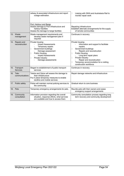|                                   | railway & associated infrastructure and report<br>outage estimation                                                                                                                                                           | Liaising with GWA and Australasia Rail to<br>П<br>monitor repair work                                                                                                                                                                                                                                                  |
|-----------------------------------|-------------------------------------------------------------------------------------------------------------------------------------------------------------------------------------------------------------------------------|------------------------------------------------------------------------------------------------------------------------------------------------------------------------------------------------------------------------------------------------------------------------------------------------------------------------|
|                                   | Port, Harbour and Barge<br>Assess damage to Port infrastructure and<br>harbour facilities<br>Assess the damage to barge facilities                                                                                            | Repairing infrastructure<br>Establish alternate arrangements for the supply<br>of remote communities                                                                                                                                                                                                                   |
| 13. Waste<br>management           | Waste management requirements and<br>develop waste management plan if<br>required                                                                                                                                             | Continues in recovery                                                                                                                                                                                                                                                                                                  |
| 14. Repairs and<br>reconstruction | Private housing<br><b>Impact Assessments</b><br>Temporary repairs<br>Government buildings<br>□<br>Damage assessment<br><b>Public Housing</b><br>□<br><b>Impact Assessments</b><br>Private Industry<br>□<br>Damage assessments | Private housing<br>Information and support to facilitate<br>repairs.<br>Government buildings<br>□<br>Repairs and reconstruction<br><b>Public Housing</b><br>□<br>Long term repair plans<br>Private Industry<br>П<br>Repair and reconstruction<br>Temporary accommodation for a visiting<br>П<br>construction workforce |
| 15. Transport<br><b>Services</b>  | Staged re-establishment of public transport<br>services                                                                                                                                                                       | Continues in recovery                                                                                                                                                                                                                                                                                                  |
| 16. Tele-<br>communications       | Telstra and Optus will assess the damage to<br>their infrastructure<br>Put in place temporary measures to enable<br>landline and mobile services                                                                              | Repair damage networks and infrastructure                                                                                                                                                                                                                                                                              |
| 17. Public safety                 | Police will maintain normal policing services to<br>the community                                                                                                                                                             | Gradual return to core business                                                                                                                                                                                                                                                                                        |
| 18. Pets                          | Temporary emergency arrangements for pets.                                                                                                                                                                                    | Reunite pets with their owners and cease<br>emergency support arrangements                                                                                                                                                                                                                                             |
| 19. Community<br>consultation     | Information provision regarding the overall<br>situation, response efforts, what services<br>are available and how to access them                                                                                             | Community consultation process regarding long<br>term recovery and community development                                                                                                                                                                                                                               |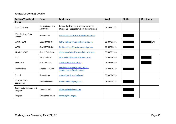# **Annex L: Contact Details**

<span id="page-54-0"></span>

| <b>Position/Functional</b><br>Group     | <b>Name</b>                     | <b>Email address</b>                                                            | <b>Work</b>  | <b>Mobile</b> | <b>After Hours</b> |
|-----------------------------------------|---------------------------------|---------------------------------------------------------------------------------|--------------|---------------|--------------------|
| Local Controller                        | Ramingining Local<br>Controller | Currently short term secondments at<br>Minjilang - Craig Hamilton (Ramingining) | 08 8979 7858 |               |                    |
| <b>NTES Territory Duty</b><br>Officer   | 24/7 on call                    | TerritoryDutyOfficer.NTES@pfes.nt.gov.au                                        |              |               |                    |
| <b>WARC - CSM</b>                       | Cathy MAKINGS                   | Cathy.makings@westarnhem.nt.gov.au                                              | 08 8970 3501 |               | SAT                |
| <b>WARC</b>                             | David MAKINGS                   | David.makings @westarnhem.nt.gov.au                                             | 08 8970 3501 |               |                    |
| <b>ADMIN - WARC</b>                     | Shane Wauchope                  | shane.wauchope@westarnhem.nt.gov.au                                             | 08 8970 3500 |               |                    |
| ESO                                     | Terry Jackson                   | terry.jackson@westarnhem.nt.gov.au                                              | 08 8979 0209 |               |                    |
| ALPA store                              | <b>Tiana HARRIS</b>             | crokerisland@alpa.asn.au                                                        | 08 8979 0266 |               |                    |
| <b>Redlily Clinic</b>                   | Priscilla MUSWIBE               | minjilang.manager@redlily.org.au,<br>stephen.hayes@redlily.org.au               | 08 8979 0229 |               |                    |
| School                                  | <b>Adam Dicks</b>               | adam.dicks1@ntschools.net                                                       | 08 8979 0255 |               |                    |
| Local Recovery<br>coordinator           | Sandra Schmidt                  | Sandra.schmidt@nt.gov.au                                                        | 08 8999 5236 |               |                    |
| <b>Community Development</b><br>Program | Greg BROWN                      | Heike.raabe@alpa.asn.au                                                         |              |               |                    |
| Rangers                                 | Bryan MacDonald                 | garngirc@nlc.org.au                                                             |              |               |                    |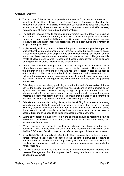# <span id="page-55-0"></span>**Annex M: Debrief**

- 1. The purpose of this Annex is to provide a framework for a debrief process which complements the Whole of Government Debrief Process. The process should not be confused with training or exercise evaluations but rather considered as a lessons learned opportunity. Lessons learned leads to improved operational effectiveness, increased cost efficiency and reduced operational risk.
- 2. The Debrief Process embeds continuous improvement into the delivery of activities pursuant to the Territory Emergency Plan (TEP). Consistent approaches to lessons learned will encourage adaptability, and flexibility across all functional areas; sharing of knowledge and experiences will assist with ongoing continuous improvement of people and organisations.
- 3. Implemented judiciously, a lessons learned approach can have a positive impact on organisational culture commensurate with increasing opportunities to achieve goals. Whilst lessons learned often begins in one organisation through an internal debrief processes, those lessons learned are often transferable across multi-agencies; this Whole of Government Debrief Process and Lessons Management aims to ensure learnings are translatable across multiple organisations.
- 4. One of the most critical steps in the lessons management is the collection of information and observations of persons involved in the operation. The collection of this information is not limited to persons involved in the operation itself or the actions of those who provided a response, but includes those who had involvement prior to including the promulgation and implementation of plans (as lessons to be learned is not limited to how an emergency was managed but also includes the planning processes).
- 5. Debriefing is more than simply producing a report at the end of an operation. It forms part of the broader process of learning and has significant influential impact on an agency and sensitises people into doing the right thing. It prevents confusion and misinterpretation for future operations and drives home the main reasons the agency implores a lessons management system – to ensure that the agency learns from their mistakes and what they do well and drives continuous improvement.
- 6. Debriefs are not about distributing blame, but rather shifting focus towards improving capacity and capability to respond to incidents in a way that reflects improved planning, process, technology, support, training and development. The inevitability that exists with decisions made on a risk based approach carries a certain level of accepted risk and this needs to be taken into account when debriefing.
- 7. During any operation, anyone involved in the operation should be recording activities where there are lessons to be learned; activities can include decision making and consequential responses.
- 8. Where decisions are made by an Incident Management Team member or a Functional Group Leader, those decisions should be recorded in the Decision Log in the WebEOC event. Decision Logs can be referred to as part of the debrief process.
- 9. A Hot Debrief is held immediately after the incident response is complete or when a person concludes their shift in response to the incident. It allows rapid capture of real-time feedback aimed at addressing pressing or immediate concerns. This is a key time to address any health or safety issues and provides an opportunity for instant feedback.
- 10. The Hot Debrief will be fed into the Whole of Government Debrief Process and Lessons Management. For the purpose, the following template is to be used and uploaded to WebEOC.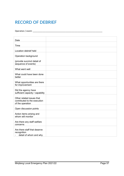# **RECORD OF DEBRIEF**

Operation / event: \_\_\_\_\_\_\_\_\_\_\_\_\_\_\_\_\_\_\_\_\_\_\_\_\_\_\_\_\_\_\_\_\_\_\_\_\_\_\_\_\_\_\_\_\_\_\_\_\_\_\_\_\_\_\_\_\_\_\_\_\_

| Date                                                                          |  |
|-------------------------------------------------------------------------------|--|
|                                                                               |  |
| Time                                                                          |  |
| Location debrief held                                                         |  |
| Operation background                                                          |  |
| (provide succinct detail of<br>sequence of events)                            |  |
| What went well                                                                |  |
| What could have been done<br>better                                           |  |
| What opportunities are there<br>for improvement                               |  |
| Did the agency have<br>sufficient capacity / capability                       |  |
| Other related issues that<br>contributed to the execution<br>of the operation |  |
| Open discussion points                                                        |  |
| Action items arising and<br>whom will monitor                                 |  |
| Are there any staff welfare<br>concerns                                       |  |
| Are there staff that deserve<br>recognition<br>detail of whom and why         |  |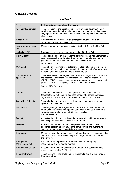# <span id="page-57-0"></span>**Annex N: Glossary**

### **GLOSSARY**

| Term                         | In the context of this plan, this means:                                                                                                                                                                                                                                                         |
|------------------------------|--------------------------------------------------------------------------------------------------------------------------------------------------------------------------------------------------------------------------------------------------------------------------------------------------|
| All Hazards Approach         | The application of one set of control, coordination and communication<br>policies and procedures in a universal manner to emergency situations of<br>varying type thereby promoting consistency of emergency management<br>at all levels.                                                        |
| Affected area                | A particular area where either an emergency situation, state of<br>emergency or state of disaster exists.                                                                                                                                                                                        |
| Approved emergency<br>plan   | Means a plan approved under section 10930, 13(2), 16(2) of the Act.                                                                                                                                                                                                                              |
| <b>Authorised Officer</b>    | Person or persons authorised under section 98 of the Act.                                                                                                                                                                                                                                        |
| <b>Chief Executive</b>       | The appointed position that leads the governance and management of a<br>service responsible for the effective exercise of the relevant statutory<br>powers, authorities, duties and functions consistent with the NT<br>government policy.                                                       |
| Command                      | The authority to command is established in legislation or by agreement<br>with agency/organisations. Command relates to agencies/organisations,<br>functions and individuals. Situations are controlled.                                                                                         |
| Comprehensive<br>approach    | The development of emergency and disaster arrangements to embrace<br>the aspects of prevention, preparedness, response, and recovery<br>(PPRR). PPRR are aspects of emergency management, not sequential<br>phases. Syn. 'disaster cycle', 'disaster phases' and 'PPRR'.<br>Source: AEM Glossary |
| Control                      | The overall direction of activities, agencies or individuals concerned<br>(source; SERM Act). Control operates horizontally across agencies /<br>organisations, functions and individuals. Situations are controlled.                                                                            |
| <b>Controlling Authority</b> | The authorised agency which has the overall direction of activities,<br>agencies or individuals concerned.                                                                                                                                                                                       |
| Coordination                 | The bringing together of agencies and individuals to ensure effective<br>emergency and rescue management but does not include the control of<br>agencies, organisations and individuals by direction.<br>Source: SERM Act.                                                                       |
| Debrief                      | A meeting held during or at the end of an operation with the purpose of<br>assessing the conduct or results of an operation.                                                                                                                                                                     |
| Delegate                     | A person nominated to act as the representative of an officially<br>appointed position holder, having the same powers and authority to<br>commit the resources of the official employee.                                                                                                         |
| Emergency                    | Means an event that requires significant coordinated response using the<br>combined resources of the territory and non-government entities within<br>the Territory.                                                                                                                              |
| Emergency<br>Management Act  | A Bill for an Act to provide for matters relating to emergency<br>management and for related matters.                                                                                                                                                                                            |
| <b>Emergency Situation</b>   | Exists in an area once a declaration to that effect is declared by the<br>minister under section 3 of the Act.                                                                                                                                                                                   |
| <b>Functional Group</b>      | These responsibilities are laid out in functional plans and the Territory<br>Emergency Plan.                                                                                                                                                                                                     |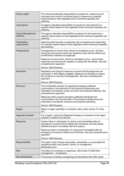| Group Leader                          | The individual allocated responsibility to prepare for, respond to and<br>command and control a functional group in response to a specific<br>hazard based on their legislated and or technical capability and<br>authority.      |
|---------------------------------------|-----------------------------------------------------------------------------------------------------------------------------------------------------------------------------------------------------------------------------------|
| Lead agency                           | An agency allocated responsibility to prepare for and respond to a<br>specific hazard based on their legislated and/or technical capability and<br>authority.                                                                     |
| <b>Hazard Management</b><br>Authority | The agency allocated responsibility to prepare for and respond to a<br>specific hazard based on their legislated and/or technical capability and<br>authority.                                                                    |
| Participating<br>organisations        | Agencies which provide a supporting role in preparing and responding<br>to a specific hazard based on their legislative and/or technical capability<br>and authority.                                                             |
| Preparedness                          | Arrangements to ensure that, should an emergency occur, all those<br>resources and services which are needed to cope with the effects can<br>be efficiently mobilised and deployed.                                               |
|                                       | Measures to ensure that, should an emergency occur, communities,<br>resources and services are capable of coping with the effects. See also<br>comprehensive approach.                                                            |
|                                       | Source: AEM Glossary.                                                                                                                                                                                                             |
| Prevention                            | Regulatory and physical measures to ensure that Emergencies are<br>prevented, or their effects mitigated. Measures to eliminate or reduce<br>the incidence or severity of emergencies. See also comprehensive<br>approach.        |
|                                       | Source: AEM Glossary.                                                                                                                                                                                                             |
| Recovery                              | The coordinated process of supporting emergency-affected<br>communities in reconstruction of the physical infrastructure and<br>restoration of emotional, social, economic and physical wellbeing. See<br>comprehensive approach. |
|                                       | Measures which support emergency-affected individuals and<br>communities in the reconstruction of the physical infrastructure and<br>restoration of emotional, economic and physical well-being.                                  |
|                                       | Source: AEM Glossary.                                                                                                                                                                                                             |
| Region                                | Means a region specified in a Gazette notice under section 27 of the<br>Act.                                                                                                                                                      |
| <b>Regional Controller</b>            | For a region, means the Regional Emergency Controller for the region<br>mention in section 54 of the Act.                                                                                                                         |
| Response                              | Actions taken in anticipation of, during, and immediately after an<br>emergency to ensure that its effects are minimised, and that people<br>affected are given immediate relief and support.                                     |
|                                       | Measures taken in anticipation of, during and immediately after an<br>emergency to ensure its effects are minimised. See also comprehensive<br>approach.                                                                          |
|                                       | Source: AEM Glossary.                                                                                                                                                                                                             |
| Responsibilities                      | The state or fact of being responsible, answerable, or accountable for<br>something within one's power, control, or management.<br>(Dictionary.com)                                                                               |
| <b>Risk</b>                           | The effect of uncertainty or objectives. (ISO Guide 73.2009 Risk<br>management - Vocabulary)                                                                                                                                      |
| <b>Risk Identification</b>            | The process of finding, recognising and describing risks (ISO Guide                                                                                                                                                               |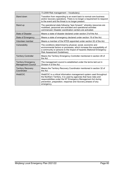|                                                         | 73.2009 Risk management - Vocabulary).                                                                                                                                                                                                                                                  |
|---------------------------------------------------------|-----------------------------------------------------------------------------------------------------------------------------------------------------------------------------------------------------------------------------------------------------------------------------------------|
| Stand down                                              | Transition from responding to an event back to normal core business<br>and/or recovery operations. There is no longer a requirement to respond<br>to the event and the threat is no longer present.                                                                                     |
| Stand up                                                | The operational state following "lean forward:" whereby resources are<br>mobilised, personnel are activated and operational activities<br>commenced. Disaster coordination centers are activated.                                                                                       |
| <b>State of Disaster</b>                                | Means a state of disaster declared under section 21 of the Act.                                                                                                                                                                                                                         |
| State of Emergency                                      | Means a state of emergency declared under section 19 of the Act.                                                                                                                                                                                                                        |
| Volunteer member                                        | Means a member of the NTES appointed under section 52 of the Act.                                                                                                                                                                                                                       |
| Vulnerability                                           | The conditions determined by physical, social, economic and<br>environmental factors or processes, which increase the susceptibility of<br>a community or persons to the impact of hazards (National Emergency<br>Risk Assessment Guidelines).                                          |
| <b>Territory Controller</b>                             | Means the Territory Emergency Controller mentioned in section 28 of<br>the Act.                                                                                                                                                                                                         |
| <b>Territory Emergency</b><br><b>Management Council</b> | The management council is established under the terms laid out in<br>Division 4 of the Act.                                                                                                                                                                                             |
| <b>Territory Recovery</b><br>Coordinator                | Means the Territory Recovery Coordinator mentioned in section 32 of<br>the Act.                                                                                                                                                                                                         |
| WebEOC                                                  | WebEOC is a critical information management system used throughout<br>the Northern Territory. It is used by agencies that have roles and<br>responsibilities under the NT Emergency Management Act during<br>prevention, preparation, response and recovery phases of any<br>emergency. |